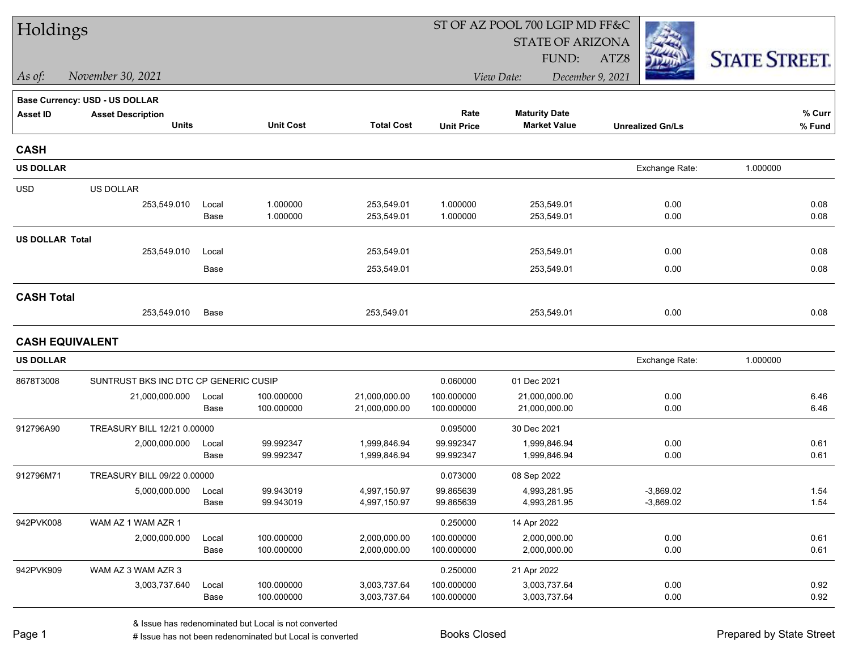| Holdings               |                                       |               |                          |                              |                          | ST OF AZ POOL 700 LGIP MD FF&C |                            |                      |
|------------------------|---------------------------------------|---------------|--------------------------|------------------------------|--------------------------|--------------------------------|----------------------------|----------------------|
|                        |                                       |               |                          |                              |                          | <b>STATE OF ARIZONA</b>        |                            |                      |
|                        |                                       |               |                          |                              |                          | FUND:                          | ATZ8                       | <b>STATE STREET.</b> |
| As of:                 | November 30, 2021                     |               |                          |                              |                          | December 9, 2021<br>View Date: |                            |                      |
|                        | Base Currency: USD - US DOLLAR        |               |                          |                              |                          |                                |                            |                      |
| <b>Asset ID</b>        | <b>Asset Description</b>              |               |                          |                              | Rate                     | <b>Maturity Date</b>           |                            | % Curr               |
|                        | <b>Units</b>                          |               | <b>Unit Cost</b>         | <b>Total Cost</b>            | <b>Unit Price</b>        | <b>Market Value</b>            | <b>Unrealized Gn/Ls</b>    | % Fund               |
| <b>CASH</b>            |                                       |               |                          |                              |                          |                                |                            |                      |
| <b>US DOLLAR</b>       |                                       |               |                          |                              |                          |                                | Exchange Rate:             | 1.000000             |
| <b>USD</b>             | <b>US DOLLAR</b>                      |               |                          |                              |                          |                                |                            |                      |
|                        | 253,549.010                           | Local         | 1.000000                 | 253,549.01                   | 1.000000                 | 253,549.01                     | 0.00                       | 0.08                 |
|                        |                                       | Base          | 1.000000                 | 253,549.01                   | 1.000000                 | 253,549.01                     | 0.00                       | 0.08                 |
| <b>US DOLLAR Total</b> |                                       |               |                          |                              |                          |                                |                            |                      |
|                        | 253,549.010                           | Local         |                          | 253,549.01                   |                          | 253,549.01                     | 0.00                       | 0.08                 |
|                        |                                       | Base          |                          | 253,549.01                   |                          | 253,549.01                     | 0.00                       | 0.08                 |
| <b>CASH Total</b>      |                                       |               |                          |                              |                          |                                |                            |                      |
|                        | 253,549.010                           | Base          |                          | 253,549.01                   |                          | 253,549.01                     | 0.00                       | 0.08                 |
| <b>CASH EQUIVALENT</b> |                                       |               |                          |                              |                          |                                |                            |                      |
| <b>US DOLLAR</b>       |                                       |               |                          |                              |                          |                                | Exchange Rate:             | 1.000000             |
| 8678T3008              | SUNTRUST BKS INC DTC CP GENERIC CUSIP |               |                          |                              | 0.060000                 | 01 Dec 2021                    |                            |                      |
|                        | 21,000,000.000                        | Local         | 100.000000               | 21,000,000.00                | 100.000000               | 21,000,000.00                  | 0.00                       | 6.46                 |
|                        |                                       | Base          | 100.000000               | 21,000,000.00                | 100.000000               | 21,000,000.00                  | 0.00                       | 6.46                 |
| 912796A90              | TREASURY BILL 12/21 0.00000           |               |                          |                              | 0.095000                 | 30 Dec 2021                    |                            |                      |
|                        | 2,000,000.000                         | Local         | 99.992347                | 1,999,846.94                 | 99.992347                | 1,999,846.94                   | 0.00                       | 0.61                 |
|                        |                                       | Base          | 99.992347                | 1,999,846.94                 | 99.992347                | 1,999,846.94                   | 0.00                       | 0.61                 |
| 912796M71              | TREASURY BILL 09/22 0.00000           |               |                          |                              | 0.073000                 | 08 Sep 2022                    |                            |                      |
|                        | 5,000,000.000                         | Local<br>Base | 99.943019<br>99.943019   | 4,997,150.97<br>4,997,150.97 | 99.865639<br>99.865639   | 4,993,281.95<br>4,993,281.95   | $-3,869.02$<br>$-3,869.02$ | 1.54<br>1.54         |
|                        |                                       |               |                          |                              |                          |                                |                            |                      |
| 942PVK008              | WAM AZ 1 WAM AZR 1                    |               |                          |                              | 0.250000                 | 14 Apr 2022                    |                            |                      |
|                        | 2,000,000.000                         | Local<br>Base | 100.000000<br>100.000000 | 2,000,000.00<br>2,000,000.00 | 100.000000<br>100.000000 | 2,000,000.00<br>2,000,000.00   | 0.00<br>0.00               | 0.61<br>0.61         |
| 942PVK909              | WAM AZ 3 WAM AZR 3                    |               |                          |                              | 0.250000                 | 21 Apr 2022                    |                            |                      |
|                        | 3,003,737.640                         | Local         | 100.000000               | 3,003,737.64                 | 100.000000               | 3,003,737.64                   | 0.00                       | 0.92                 |
|                        |                                       | Base          | 100.000000               | 3,003,737.64                 | 100.000000               | 3,003,737.64                   | 0.00                       | 0.92                 |
|                        |                                       |               |                          |                              |                          |                                |                            |                      |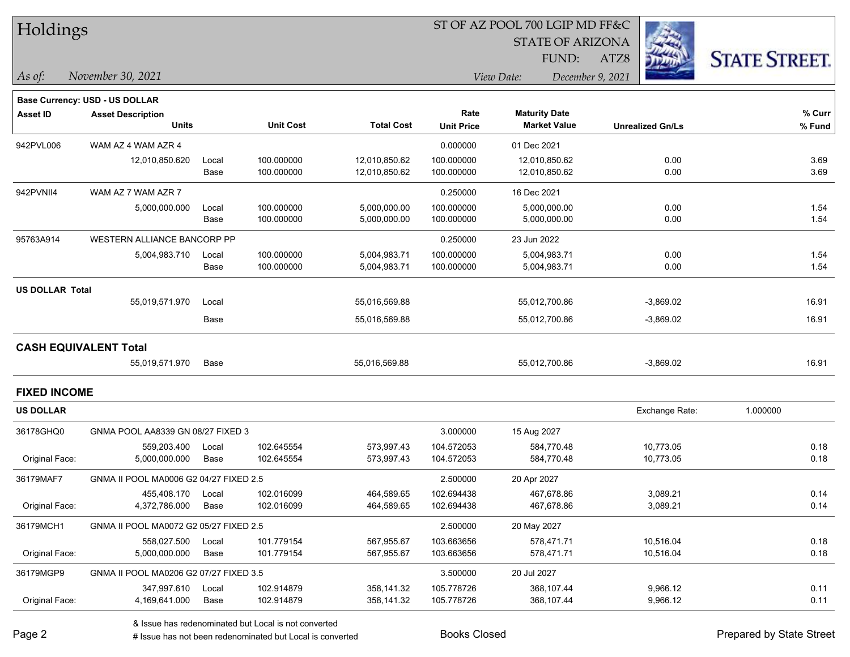|  | <b>Holdings</b> |
|--|-----------------|
|--|-----------------|

STATE OF ARIZONA

ATZ8



**% Fund**

**% Curr**

*November 30, 2021 As of: View Date: December 9, 2021*

FUND:

|           | <b>Base Currency: USD - US DOLLAR</b> |       |                  |                   |                   |                      |                         |
|-----------|---------------------------------------|-------|------------------|-------------------|-------------------|----------------------|-------------------------|
| Asset ID  | <b>Asset Description</b>              |       |                  |                   | Rate              | <b>Maturity Date</b> |                         |
|           | <b>Units</b>                          |       | <b>Unit Cost</b> | <b>Total Cost</b> | <b>Unit Price</b> | <b>Market Value</b>  | <b>Unrealized Gn/Ls</b> |
| 942PVL006 | WAM AZ 4 WAM AZR 4                    |       |                  |                   | 0.000000          | 01 Dec 2021          |                         |
|           | 12,010,850.620                        | Local | 100.000000       | 12.010.850.62     | 100.000000        | 12,010,850.62        | 0.00                    |
|           |                                       | Base  | 100.000000       | 12,010,850.62     | 100.000000        | 12,010,850.62        | 0.00                    |

|                 | $\cdots$                     |       |            |               | 0.00000    |               |             |       |
|-----------------|------------------------------|-------|------------|---------------|------------|---------------|-------------|-------|
|                 | 12,010,850.620               | Local | 100.000000 | 12,010,850.62 | 100.000000 | 12,010,850.62 | 0.00        | 3.69  |
|                 |                              | Base  | 100.000000 | 12,010,850.62 | 100.000000 | 12,010,850.62 | 0.00        | 3.69  |
| 942PVNII4       | WAM AZ 7 WAM AZR 7           |       |            |               | 0.250000   | 16 Dec 2021   |             |       |
|                 | 5,000,000.000                | Local | 100.000000 | 5,000,000.00  | 100.000000 | 5,000,000.00  | 0.00        | 1.54  |
|                 |                              | Base  | 100.000000 | 5,000,000.00  | 100.000000 | 5,000,000.00  | 0.00        | 1.54  |
| 95763A914       | WESTERN ALLIANCE BANCORP PP  |       |            |               | 0.250000   | 23 Jun 2022   |             |       |
|                 | 5,004,983.710                | Local | 100.000000 | 5,004,983.71  | 100.000000 | 5,004,983.71  | 0.00        | 1.54  |
|                 |                              | Base  | 100.000000 | 5,004,983.71  | 100.000000 | 5,004,983.71  | 0.00        | 1.54  |
| US DOLLAR Total |                              |       |            |               |            |               |             |       |
|                 | 55,019,571.970               | Local |            | 55,016,569.88 |            | 55,012,700.86 | $-3,869.02$ | 16.91 |
|                 |                              | Base  |            | 55,016,569.88 |            | 55,012,700.86 | $-3,869.02$ | 16.91 |
|                 | <b>CASH EQUIVALENT Total</b> |       |            |               |            |               |             |       |
|                 |                              |       |            |               |            |               |             |       |

55,019,571.970 Base 55,016,569.88 55,012,700.86 -3,869.02 16.91

|  | <b>FIXED INCOME</b> |
|--|---------------------|
|--|---------------------|

| <b>US DOLLAR</b> |                                        |       |            |            |            |             | Exchange Rate: | 1.000000 |
|------------------|----------------------------------------|-------|------------|------------|------------|-------------|----------------|----------|
| 36178GHQ0        | GNMA POOL AA8339 GN 08/27 FIXED 3      |       |            |            | 3.000000   | 15 Aug 2027 |                |          |
|                  | 559.203.400                            | Local | 102.645554 | 573,997.43 | 104.572053 | 584,770.48  | 10,773.05      | 0.18     |
| Original Face:   | 5,000,000.000                          | Base  | 102.645554 | 573,997.43 | 104.572053 | 584,770.48  | 10,773.05      | 0.18     |
| 36179MAF7        | GNMA II POOL MA0006 G2 04/27 FIXED 2.5 |       |            |            | 2.500000   | 20 Apr 2027 |                |          |
|                  | 455.408.170                            | Local | 102.016099 | 464,589.65 | 102.694438 | 467.678.86  | 3,089.21       | 0.14     |
| Original Face:   | 4,372,786.000                          | Base  | 102.016099 | 464,589.65 | 102.694438 | 467,678.86  | 3,089.21       | 0.14     |
| 36179MCH1        | GNMA II POOL MA0072 G2 05/27 FIXED 2.5 |       |            |            | 2.500000   | 20 May 2027 |                |          |
|                  | 558.027.500                            | Local | 101.779154 | 567.955.67 | 103.663656 | 578.471.71  | 10.516.04      | 0.18     |
| Original Face:   | 5,000,000.000                          | Base  | 101.779154 | 567,955.67 | 103.663656 | 578,471.71  | 10,516.04      | 0.18     |
| 36179MGP9        | GNMA II POOL MA0206 G2 07/27 FIXED 3.5 |       |            |            | 3.500000   | 20 Jul 2027 |                |          |
|                  | 347.997.610                            | Local | 102.914879 | 358,141.32 | 105.778726 | 368,107.44  | 9,966.12       | 0.11     |
| Original Face:   | 4,169,641.000                          | Base  | 102.914879 | 358,141.32 | 105.778726 | 368,107.44  | 9,966.12       | 0.11     |

& Issue has redenominated but Local is not converted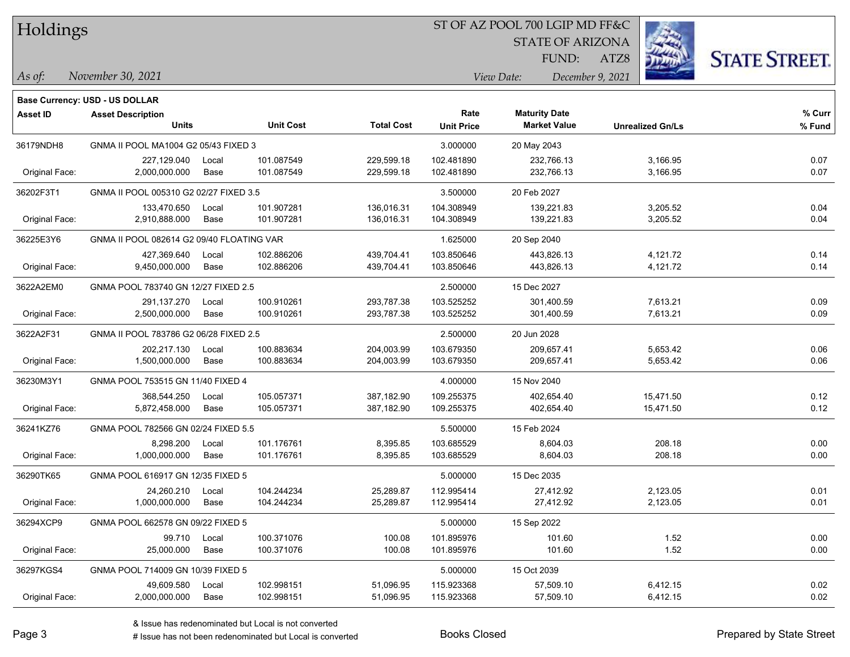| Holdings |  |
|----------|--|
|----------|--|

STATE OF ARIZONA

FUND:

ATZ8



*As of: View Date: December 9, 2021*

| As of: | November 30, 2021 |  |
|--------|-------------------|--|
|        |                   |  |

|                | <b>Base Currency: USD - US DOLLAR</b>     |               |                          |                          |                           |                                             |                         |                  |
|----------------|-------------------------------------------|---------------|--------------------------|--------------------------|---------------------------|---------------------------------------------|-------------------------|------------------|
| Asset ID       | <b>Asset Description</b><br><b>Units</b>  |               | <b>Unit Cost</b>         | <b>Total Cost</b>        | Rate<br><b>Unit Price</b> | <b>Maturity Date</b><br><b>Market Value</b> | <b>Unrealized Gn/Ls</b> | % Curr<br>% Fund |
| 36179NDH8      | GNMA II POOL MA1004 G2 05/43 FIXED 3      |               |                          |                          | 3.000000                  | 20 May 2043                                 |                         |                  |
| Original Face: | 227,129.040<br>2,000,000.000              | Local<br>Base | 101.087549<br>101.087549 | 229,599.18<br>229,599.18 | 102.481890<br>102.481890  | 232,766.13<br>232,766.13                    | 3,166.95<br>3,166.95    | 0.07<br>0.07     |
| 36202F3T1      | GNMA II POOL 005310 G2 02/27 FIXED 3.5    |               |                          |                          | 3.500000                  | 20 Feb 2027                                 |                         |                  |
| Original Face: | 133,470.650<br>2,910,888.000              | Local<br>Base | 101.907281<br>101.907281 | 136,016.31<br>136,016.31 | 104.308949<br>104.308949  | 139,221.83<br>139,221.83                    | 3,205.52<br>3,205.52    | 0.04<br>0.04     |
| 36225E3Y6      | GNMA II POOL 082614 G2 09/40 FLOATING VAR |               |                          |                          | 1.625000                  | 20 Sep 2040                                 |                         |                  |
| Original Face: | 427,369.640<br>9,450,000.000              | Local<br>Base | 102.886206<br>102.886206 | 439,704.41<br>439,704.41 | 103.850646<br>103.850646  | 443,826.13<br>443,826.13                    | 4,121.72<br>4,121.72    | 0.14<br>0.14     |
| 3622A2EM0      | GNMA POOL 783740 GN 12/27 FIXED 2.5       |               |                          |                          | 2.500000                  | 15 Dec 2027                                 |                         |                  |
| Original Face: | 291,137.270<br>2,500,000.000              | Local<br>Base | 100.910261<br>100.910261 | 293,787.38<br>293,787.38 | 103.525252<br>103.525252  | 301,400.59<br>301,400.59                    | 7,613.21<br>7,613.21    | 0.09<br>0.09     |
| 3622A2F31      | GNMA II POOL 783786 G2 06/28 FIXED 2.5    |               |                          |                          | 2.500000                  | 20 Jun 2028                                 |                         |                  |
| Original Face: | 202,217.130<br>1,500,000.000              | Local<br>Base | 100.883634<br>100.883634 | 204,003.99<br>204,003.99 | 103.679350<br>103.679350  | 209,657.41<br>209,657.41                    | 5,653.42<br>5,653.42    | 0.06<br>0.06     |
| 36230M3Y1      | GNMA POOL 753515 GN 11/40 FIXED 4         |               |                          |                          | 4.000000                  | 15 Nov 2040                                 |                         |                  |
| Original Face: | 368,544.250<br>5,872,458.000              | Local<br>Base | 105.057371<br>105.057371 | 387,182.90<br>387,182.90 | 109.255375<br>109.255375  | 402,654.40<br>402,654.40                    | 15,471.50<br>15,471.50  | 0.12<br>0.12     |
| 36241KZ76      | GNMA POOL 782566 GN 02/24 FIXED 5.5       |               |                          |                          | 5.500000                  | 15 Feb 2024                                 |                         |                  |
| Original Face: | 8.298.200<br>1,000,000.000                | Local<br>Base | 101.176761<br>101.176761 | 8.395.85<br>8,395.85     | 103.685529<br>103.685529  | 8.604.03<br>8,604.03                        | 208.18<br>208.18        | 0.00<br>0.00     |
| 36290TK65      | GNMA POOL 616917 GN 12/35 FIXED 5         |               |                          |                          | 5.000000                  | 15 Dec 2035                                 |                         |                  |
| Original Face: | 24,260.210<br>1,000,000.000               | Local<br>Base | 104.244234<br>104.244234 | 25,289.87<br>25,289.87   | 112.995414<br>112.995414  | 27,412.92<br>27,412.92                      | 2,123.05<br>2,123.05    | 0.01<br>0.01     |
| 36294XCP9      | GNMA POOL 662578 GN 09/22 FIXED 5         |               |                          |                          | 5.000000                  | 15 Sep 2022                                 |                         |                  |
| Original Face: | 99.710<br>25,000.000                      | Local<br>Base | 100.371076<br>100.371076 | 100.08<br>100.08         | 101.895976<br>101.895976  | 101.60<br>101.60                            | 1.52<br>1.52            | 0.00<br>0.00     |
| 36297KGS4      | GNMA POOL 714009 GN 10/39 FIXED 5         |               |                          |                          | 5.000000                  | 15 Oct 2039                                 |                         |                  |
| Original Face: | 49,609.580<br>2,000,000.000               | Local<br>Base | 102.998151<br>102.998151 | 51,096.95<br>51,096.95   | 115.923368<br>115.923368  | 57,509.10<br>57,509.10                      | 6,412.15<br>6,412.15    | 0.02<br>0.02     |
|                |                                           |               |                          |                          |                           |                                             |                         |                  |

# Issue has not been redenominated but Local is converted Books Closed Prepared by State Street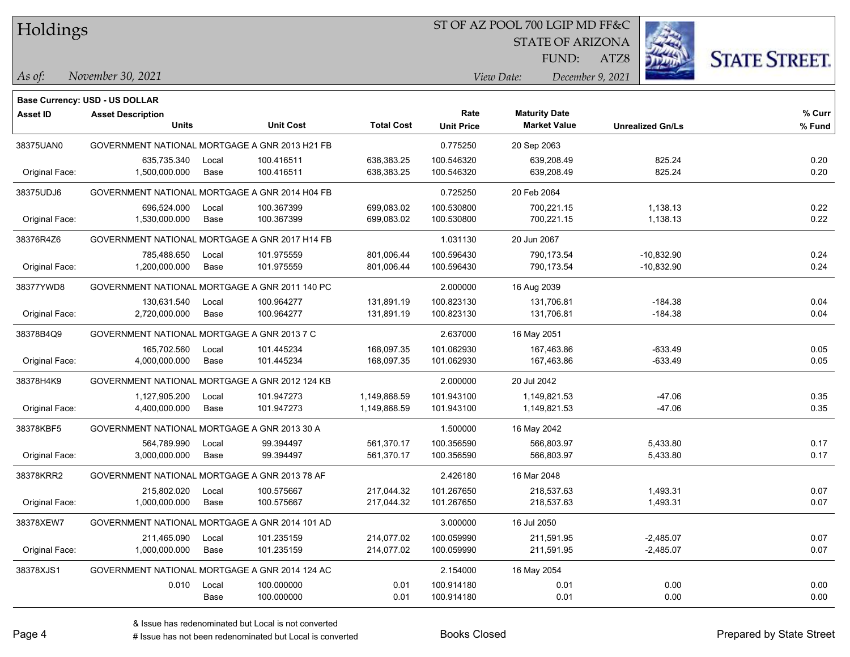| Holdings |
|----------|
|          |

STATE OF ARIZONA

ATZ8



FUND:

*November 30, 2021 As of: View Date: December 9, 2021*

|                 | Base Currency: USD - US DOLLAR                 |       |                  |                   |                   |                      |                         |        |
|-----------------|------------------------------------------------|-------|------------------|-------------------|-------------------|----------------------|-------------------------|--------|
| <b>Asset ID</b> | <b>Asset Description</b>                       |       |                  |                   | Rate              | <b>Maturity Date</b> |                         | % Curr |
|                 | <b>Units</b>                                   |       | <b>Unit Cost</b> | <b>Total Cost</b> | <b>Unit Price</b> | <b>Market Value</b>  | <b>Unrealized Gn/Ls</b> | % Fund |
| 38375UAN0       | GOVERNMENT NATIONAL MORTGAGE A GNR 2013 H21 FB |       |                  |                   | 0.775250          | 20 Sep 2063          |                         |        |
|                 | 635,735.340                                    | Local | 100.416511       | 638,383.25        | 100.546320        | 639,208.49           | 825.24                  | 0.20   |
| Original Face:  | 1,500,000.000                                  | Base  | 100.416511       | 638,383.25        | 100.546320        | 639,208.49           | 825.24                  | 0.20   |
| 38375UDJ6       | GOVERNMENT NATIONAL MORTGAGE A GNR 2014 H04 FB |       |                  |                   | 0.725250          | 20 Feb 2064          |                         |        |
|                 | 696,524.000                                    | Local | 100.367399       | 699.083.02        | 100.530800        | 700,221.15           | 1,138.13                | 0.22   |
| Original Face:  | 1,530,000.000                                  | Base  | 100.367399       | 699,083.02        | 100.530800        | 700,221.15           | 1,138.13                | 0.22   |
| 38376R4Z6       | GOVERNMENT NATIONAL MORTGAGE A GNR 2017 H14 FB |       |                  |                   | 1.031130          | 20 Jun 2067          |                         |        |
|                 | 785,488.650                                    | Local | 101.975559       | 801,006.44        | 100.596430        | 790,173.54           | $-10,832.90$            | 0.24   |
| Original Face:  | 1,200,000.000                                  | Base  | 101.975559       | 801,006.44        | 100.596430        | 790,173.54           | $-10,832.90$            | 0.24   |
| 38377YWD8       | GOVERNMENT NATIONAL MORTGAGE A GNR 2011 140 PC |       |                  |                   | 2.000000          | 16 Aug 2039          |                         |        |
|                 | 130,631.540                                    | Local | 100.964277       | 131,891.19        | 100.823130        | 131,706.81           | $-184.38$               | 0.04   |
| Original Face:  | 2,720,000.000                                  | Base  | 100.964277       | 131,891.19        | 100.823130        | 131,706.81           | $-184.38$               | 0.04   |
| 38378B4Q9       | GOVERNMENT NATIONAL MORTGAGE A GNR 2013 7 C    |       |                  |                   | 2.637000          | 16 May 2051          |                         |        |
|                 | 165,702.560                                    | Local | 101.445234       | 168,097.35        | 101.062930        | 167,463.86           | $-633.49$               | 0.05   |
| Original Face:  | 4,000,000.000                                  | Base  | 101.445234       | 168,097.35        | 101.062930        | 167,463.86           | $-633.49$               | 0.05   |
| 38378H4K9       | GOVERNMENT NATIONAL MORTGAGE A GNR 2012 124 KB |       |                  |                   | 2.000000          | 20 Jul 2042          |                         |        |
|                 | 1,127,905.200                                  | Local | 101.947273       | 1,149,868.59      | 101.943100        | 1,149,821.53         | $-47.06$                | 0.35   |
| Original Face:  | 4,400,000.000                                  | Base  | 101.947273       | 1,149,868.59      | 101.943100        | 1,149,821.53         | $-47.06$                | 0.35   |
| 38378KBF5       | GOVERNMENT NATIONAL MORTGAGE A GNR 2013 30 A   |       |                  |                   | 1.500000          | 16 May 2042          |                         |        |
|                 | 564,789.990                                    | Local | 99.394497        | 561,370.17        | 100.356590        | 566.803.97           | 5,433.80                | 0.17   |
| Original Face:  | 3,000,000.000                                  | Base  | 99.394497        | 561,370.17        | 100.356590        | 566,803.97           | 5,433.80                | 0.17   |
| 38378KRR2       | GOVERNMENT NATIONAL MORTGAGE A GNR 2013 78 AF  |       |                  |                   | 2.426180          | 16 Mar 2048          |                         |        |
|                 | 215,802.020                                    | Local | 100.575667       | 217,044.32        | 101.267650        | 218,537.63           | 1,493.31                | 0.07   |
| Original Face:  | 1,000,000.000                                  | Base  | 100.575667       | 217,044.32        | 101.267650        | 218,537.63           | 1,493.31                | 0.07   |
| 38378XEW7       | GOVERNMENT NATIONAL MORTGAGE A GNR 2014 101 AD |       |                  |                   | 3.000000          | 16 Jul 2050          |                         |        |
|                 | 211,465.090                                    | Local | 101.235159       | 214,077.02        | 100.059990        | 211,591.95           | $-2,485.07$             | 0.07   |
| Original Face:  | 1,000,000.000                                  | Base  | 101.235159       | 214,077.02        | 100.059990        | 211,591.95           | $-2,485.07$             | 0.07   |
| 38378XJS1       | GOVERNMENT NATIONAL MORTGAGE A GNR 2014 124 AC |       |                  |                   | 2.154000          | 16 May 2054          |                         |        |
|                 | 0.010                                          | Local | 100.000000       | 0.01              | 100.914180        | 0.01                 | 0.00                    | 0.00   |
|                 |                                                | Base  | 100.000000       | 0.01              | 100.914180        | 0.01                 | 0.00                    | 0.00   |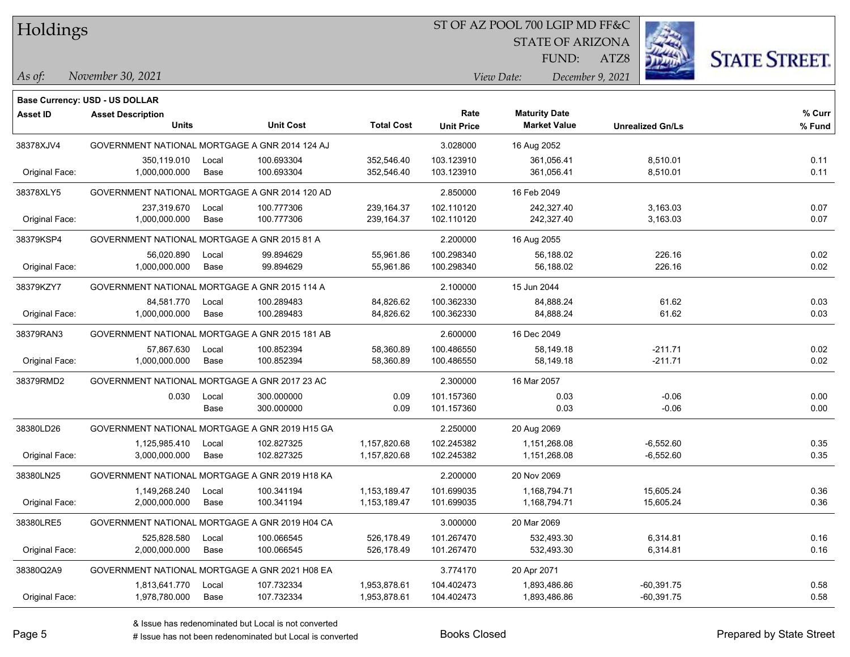Holdings

#### ST OF AZ POOL 700 LGIP MD FF&C

STATE OF ARIZONA

FUND:

ATZ8



*As of: View Date: December 9, 2021*

| November 30, 2021 | As of: |  |  |  |
|-------------------|--------|--|--|--|
|-------------------|--------|--|--|--|

|                 | Base Currency: USD - US DOLLAR                 |       |                  |                   |                   |                      |                         |        |
|-----------------|------------------------------------------------|-------|------------------|-------------------|-------------------|----------------------|-------------------------|--------|
| <b>Asset ID</b> | <b>Asset Description</b>                       |       |                  |                   | Rate              | <b>Maturity Date</b> |                         | % Curr |
|                 | <b>Units</b>                                   |       | <b>Unit Cost</b> | <b>Total Cost</b> | <b>Unit Price</b> | <b>Market Value</b>  | <b>Unrealized Gn/Ls</b> | % Fund |
| 38378XJV4       | GOVERNMENT NATIONAL MORTGAGE A GNR 2014 124 AJ |       |                  |                   | 3.028000          | 16 Aug 2052          |                         |        |
|                 | 350,119.010                                    | Local | 100.693304       | 352,546.40        | 103.123910        | 361,056.41           | 8,510.01                | 0.11   |
| Original Face:  | 1,000,000.000                                  | Base  | 100.693304       | 352,546.40        | 103.123910        | 361,056.41           | 8,510.01                | 0.11   |
| 38378XLY5       | GOVERNMENT NATIONAL MORTGAGE A GNR 2014 120 AD |       |                  |                   | 2.850000          | 16 Feb 2049          |                         |        |
|                 | 237,319.670                                    | Local | 100.777306       | 239, 164.37       | 102.110120        | 242,327.40           | 3,163.03                | 0.07   |
| Original Face:  | 1,000,000.000                                  | Base  | 100.777306       | 239, 164.37       | 102.110120        | 242,327.40           | 3,163.03                | 0.07   |
| 38379KSP4       | GOVERNMENT NATIONAL MORTGAGE A GNR 2015 81 A   |       |                  | 2.200000          | 16 Aug 2055       |                      |                         |        |
|                 | 56,020.890                                     | Local | 99.894629        | 55,961.86         | 100.298340        | 56,188.02            | 226.16                  | 0.02   |
| Original Face:  | 1,000,000.000                                  | Base  | 99.894629        | 55,961.86         | 100.298340        | 56,188.02            | 226.16                  | 0.02   |
| 38379KZY7       | GOVERNMENT NATIONAL MORTGAGE A GNR 2015 114 A  |       |                  |                   | 2.100000          | 15 Jun 2044          |                         |        |
|                 | 84,581.770                                     | Local | 100.289483       | 84,826.62         | 100.362330        | 84,888.24            | 61.62                   | 0.03   |
| Original Face:  | 1,000,000.000                                  | Base  | 100.289483       | 84,826.62         | 100.362330        | 84,888.24            | 61.62                   | 0.03   |
| 38379RAN3       | GOVERNMENT NATIONAL MORTGAGE A GNR 2015 181 AB |       |                  |                   | 2.600000          | 16 Dec 2049          |                         |        |
|                 | 57,867.630                                     | Local | 100.852394       | 58,360.89         | 100.486550        | 58,149.18            | $-211.71$               | 0.02   |
| Original Face:  | 1,000,000.000                                  | Base  | 100.852394       | 58,360.89         | 100.486550        | 58,149.18            | $-211.71$               | 0.02   |
| 38379RMD2       | GOVERNMENT NATIONAL MORTGAGE A GNR 2017 23 AC  |       |                  |                   | 2.300000          | 16 Mar 2057          |                         |        |
|                 | 0.030                                          | Local | 300.000000       | 0.09              | 101.157360        | 0.03                 | $-0.06$                 | 0.00   |
|                 |                                                | Base  | 300.000000       | 0.09              | 101.157360        | 0.03                 | $-0.06$                 | 0.00   |
| 38380LD26       | GOVERNMENT NATIONAL MORTGAGE A GNR 2019 H15 GA |       |                  |                   | 2.250000          | 20 Aug 2069          |                         |        |
|                 | 1,125,985.410                                  | Local | 102.827325       | 1,157,820.68      | 102.245382        | 1,151,268.08         | $-6,552.60$             | 0.35   |
| Original Face:  | 3,000,000.000                                  | Base  | 102.827325       | 1,157,820.68      | 102.245382        | 1,151,268.08         | $-6,552.60$             | 0.35   |
| 38380LN25       | GOVERNMENT NATIONAL MORTGAGE A GNR 2019 H18 KA |       |                  |                   | 2.200000          | 20 Nov 2069          |                         |        |
|                 | 1,149,268.240                                  | Local | 100.341194       | 1,153,189.47      | 101.699035        | 1,168,794.71         | 15,605.24               | 0.36   |
| Original Face:  | 2,000,000.000                                  | Base  | 100.341194       | 1,153,189.47      | 101.699035        | 1,168,794.71         | 15,605.24               | 0.36   |
| 38380LRE5       | GOVERNMENT NATIONAL MORTGAGE A GNR 2019 H04 CA |       |                  |                   | 3.000000          | 20 Mar 2069          |                         |        |
|                 | 525,828.580                                    | Local | 100.066545       | 526,178.49        | 101.267470        | 532,493.30           | 6,314.81                | 0.16   |
| Original Face:  | 2,000,000.000                                  | Base  | 100.066545       | 526,178.49        | 101.267470        | 532,493.30           | 6,314.81                | 0.16   |
| 38380Q2A9       | GOVERNMENT NATIONAL MORTGAGE A GNR 2021 H08 EA |       |                  |                   | 3.774170          | 20 Apr 2071          |                         |        |
|                 | 1,813,641.770                                  | Local | 107.732334       | 1,953,878.61      | 104.402473        | 1,893,486.86         | $-60,391.75$            | 0.58   |
| Original Face:  | 1,978,780.000                                  | Base  | 107.732334       | 1,953,878.61      | 104.402473        | 1,893,486.86         | $-60,391.75$            | 0.58   |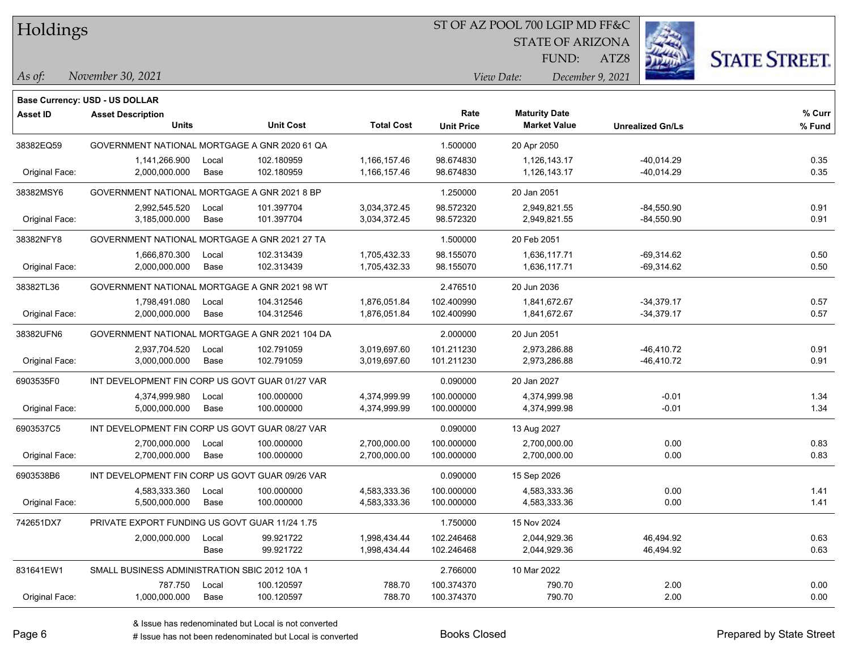Holdings

#### ST OF AZ POOL 700 LGIP MD FF&C

STATE OF ARIZONA

FUND:

ATZ8



*As of: View Date: December 9, 2021*

| As of: | November 30, 2021 |
|--------|-------------------|
|        |                   |

|                 | <b>Base Currency: USD - US DOLLAR</b>           |       |                  |                   |                   |                      |                         |        |
|-----------------|-------------------------------------------------|-------|------------------|-------------------|-------------------|----------------------|-------------------------|--------|
| <b>Asset ID</b> | <b>Asset Description</b>                        |       |                  |                   | Rate              | <b>Maturity Date</b> |                         | % Curr |
|                 | <b>Units</b>                                    |       | <b>Unit Cost</b> | <b>Total Cost</b> | <b>Unit Price</b> | <b>Market Value</b>  | <b>Unrealized Gn/Ls</b> | % Fund |
| 38382EQ59       | GOVERNMENT NATIONAL MORTGAGE A GNR 2020 61 QA   |       |                  |                   | 1.500000          | 20 Apr 2050          |                         |        |
|                 | 1,141,266.900                                   | Local | 102.180959       | 1,166,157.46      | 98.674830         | 1,126,143.17         | -40,014.29              | 0.35   |
| Original Face:  | 2,000,000.000                                   | Base  | 102.180959       | 1,166,157.46      | 98.674830         | 1,126,143.17         | -40,014.29              | 0.35   |
| 38382MSY6       | GOVERNMENT NATIONAL MORTGAGE A GNR 2021 8 BP    |       |                  |                   | 1.250000          | 20 Jan 2051          |                         |        |
|                 | 2,992,545.520                                   | Local | 101.397704       | 3,034,372.45      | 98.572320         | 2,949,821.55         | $-84,550.90$            | 0.91   |
| Original Face:  | 3,185,000.000                                   | Base  | 101.397704       | 3,034,372.45      | 98.572320         | 2,949,821.55         | -84,550.90              | 0.91   |
| 38382NFY8       | GOVERNMENT NATIONAL MORTGAGE A GNR 2021 27 TA   |       |                  |                   | 1.500000          | 20 Feb 2051          |                         |        |
|                 | 1,666,870.300                                   | Local | 102.313439       | 1,705,432.33      | 98.155070         | 1,636,117.71         | $-69,314.62$            | 0.50   |
| Original Face:  | 2,000,000.000                                   | Base  | 102.313439       | 1,705,432.33      | 98.155070         | 1,636,117.71         | $-69,314.62$            | 0.50   |
| 38382TL36       | GOVERNMENT NATIONAL MORTGAGE A GNR 2021 98 WT   |       |                  |                   | 2.476510          | 20 Jun 2036          |                         |        |
|                 | 1,798,491.080                                   | Local | 104.312546       | 1,876,051.84      | 102.400990        | 1,841,672.67         | $-34,379.17$            | 0.57   |
| Original Face:  | 2,000,000.000                                   | Base  | 104.312546       | 1,876,051.84      | 102.400990        | 1,841,672.67         | $-34,379.17$            | 0.57   |
| 38382UFN6       | GOVERNMENT NATIONAL MORTGAGE A GNR 2021 104 DA  |       |                  |                   | 2.000000          | 20 Jun 2051          |                         |        |
|                 | 2,937,704.520                                   | Local | 102.791059       | 3,019,697.60      | 101.211230        | 2,973,286.88         | -46,410.72              | 0.91   |
| Original Face:  | 3,000,000.000                                   | Base  | 102.791059       | 3,019,697.60      | 101.211230        | 2,973,286.88         | -46,410.72              | 0.91   |
| 6903535F0       | INT DEVELOPMENT FIN CORP US GOVT GUAR 01/27 VAR |       |                  | 0.090000          | 20 Jan 2027       |                      |                         |        |
|                 | 4,374,999.980                                   | Local | 100.000000       | 4,374,999.99      | 100.000000        | 4,374,999.98         | $-0.01$                 | 1.34   |
| Original Face:  | 5,000,000.000                                   | Base  | 100.000000       | 4,374,999.99      | 100.000000        | 4,374,999.98         | $-0.01$                 | 1.34   |
| 6903537C5       | INT DEVELOPMENT FIN CORP US GOVT GUAR 08/27 VAR |       |                  |                   | 0.090000          | 13 Aug 2027          |                         |        |
|                 | 2,700,000.000                                   | Local | 100.000000       | 2,700,000.00      | 100.000000        | 2,700,000.00         | 0.00                    | 0.83   |
| Original Face:  | 2,700,000.000                                   | Base  | 100.000000       | 2,700,000.00      | 100.000000        | 2,700,000.00         | 0.00                    | 0.83   |
| 6903538B6       | INT DEVELOPMENT FIN CORP US GOVT GUAR 09/26 VAR |       |                  |                   | 0.090000          | 15 Sep 2026          |                         |        |
|                 | 4,583,333.360                                   | Local | 100.000000       | 4,583,333.36      | 100.000000        | 4,583,333.36         | 0.00                    | 1.41   |
| Original Face:  | 5,500,000.000                                   | Base  | 100.000000       | 4,583,333.36      | 100.000000        | 4,583,333.36         | 0.00                    | 1.41   |
| 742651DX7       | PRIVATE EXPORT FUNDING US GOVT GUAR 11/24 1.75  |       |                  |                   | 1.750000          | 15 Nov 2024          |                         |        |
|                 | 2,000,000.000                                   | Local | 99.921722        | 1,998,434.44      | 102.246468        | 2,044,929.36         | 46,494.92               | 0.63   |
|                 |                                                 | Base  | 99.921722        | 1,998,434.44      | 102.246468        | 2,044,929.36         | 46,494.92               | 0.63   |
| 831641EW1       | SMALL BUSINESS ADMINISTRATION SBIC 2012 10A 1   |       |                  |                   | 2.766000          | 10 Mar 2022          |                         |        |
|                 | 787.750                                         | Local | 100.120597       | 788.70            | 100.374370        | 790.70               | 2.00                    | 0.00   |
| Original Face:  | 1,000,000.000                                   | Base  | 100.120597       | 788.70            | 100.374370        | 790.70               | 2.00                    | 0.00   |
|                 |                                                 |       |                  |                   |                   |                      |                         |        |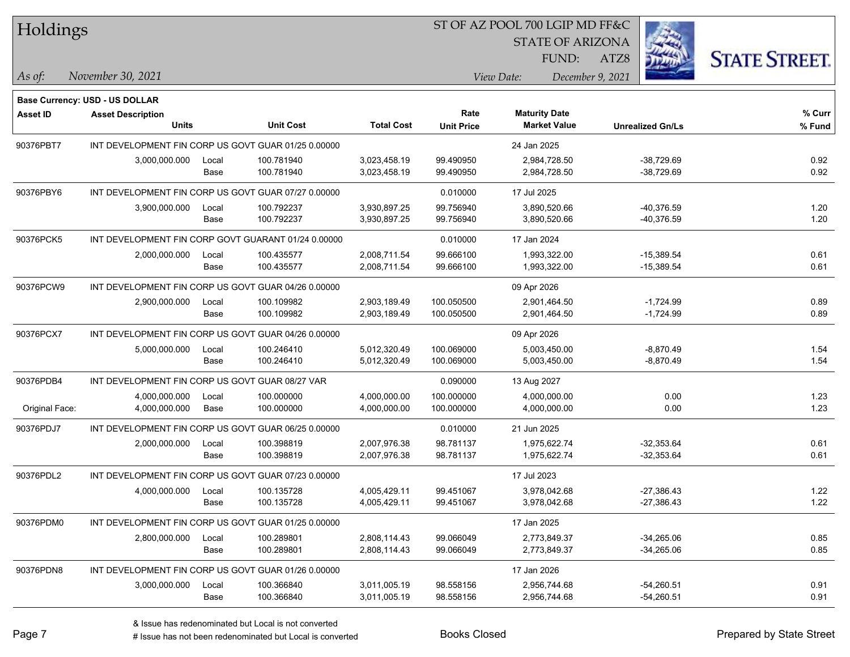| Holdings |
|----------|
|----------|

STATE OF ARIZONA

FUND:

ATZ8



*As of: View Date: December 9, 2021*

| As of: | November 30, 2021 |  |
|--------|-------------------|--|
|        |                   |  |

|                 | <b>Base Currency: USD - US DOLLAR</b>               |               |                          |                              |                           |                                             |                              |                  |
|-----------------|-----------------------------------------------------|---------------|--------------------------|------------------------------|---------------------------|---------------------------------------------|------------------------------|------------------|
| <b>Asset ID</b> | <b>Asset Description</b><br><b>Units</b>            |               | <b>Unit Cost</b>         | <b>Total Cost</b>            | Rate<br><b>Unit Price</b> | <b>Maturity Date</b><br><b>Market Value</b> | <b>Unrealized Gn/Ls</b>      | % Curr<br>% Fund |
| 90376PBT7       | INT DEVELOPMENT FIN CORP US GOVT GUAR 01/25 0.00000 |               |                          |                              |                           | 24 Jan 2025                                 |                              |                  |
|                 | 3,000,000.000                                       | Local<br>Base | 100.781940<br>100.781940 | 3,023,458.19<br>3,023,458.19 | 99.490950<br>99.490950    | 2,984,728.50<br>2,984,728.50                | -38,729.69<br>-38,729.69     | 0.92<br>0.92     |
| 90376PBY6       | INT DEVELOPMENT FIN CORP US GOVT GUAR 07/27 0.00000 |               |                          |                              | 0.010000                  | 17 Jul 2025                                 |                              |                  |
|                 | 3,900,000.000                                       | Local<br>Base | 100.792237<br>100.792237 | 3,930,897.25<br>3,930,897.25 | 99.756940<br>99.756940    | 3,890,520.66<br>3,890,520.66                | -40,376.59<br>-40,376.59     | 1.20<br>1.20     |
| 90376PCK5       | INT DEVELOPMENT FIN CORP GOVT GUARANT 01/24 0.00000 |               |                          |                              | 0.010000                  | 17 Jan 2024                                 |                              |                  |
|                 | 2,000,000.000                                       | Local<br>Base | 100.435577<br>100.435577 | 2,008,711.54<br>2,008,711.54 | 99.666100<br>99.666100    | 1,993,322.00<br>1,993,322.00                | $-15,389.54$<br>$-15,389.54$ | 0.61<br>0.61     |
| 90376PCW9       | INT DEVELOPMENT FIN CORP US GOVT GUAR 04/26 0.00000 |               |                          |                              |                           | 09 Apr 2026                                 |                              |                  |
|                 | 2,900,000.000                                       | Local<br>Base | 100.109982<br>100.109982 | 2,903,189.49<br>2,903,189.49 | 100.050500<br>100.050500  | 2,901,464.50<br>2,901,464.50                | $-1,724.99$<br>$-1,724.99$   | 0.89<br>0.89     |
| 90376PCX7       | INT DEVELOPMENT FIN CORP US GOVT GUAR 04/26 0.00000 |               |                          |                              |                           | 09 Apr 2026                                 |                              |                  |
|                 | 5,000,000.000                                       | Local<br>Base | 100.246410<br>100.246410 | 5,012,320.49<br>5,012,320.49 | 100.069000<br>100.069000  | 5,003,450.00<br>5,003,450.00                | $-8,870.49$<br>$-8,870.49$   | 1.54<br>1.54     |
| 90376PDB4       | INT DEVELOPMENT FIN CORP US GOVT GUAR 08/27 VAR     |               |                          |                              | 0.090000                  | 13 Aug 2027                                 |                              |                  |
| Original Face:  | 4,000,000.000<br>4,000,000.000                      | Local<br>Base | 100.000000<br>100.000000 | 4,000,000.00<br>4,000,000.00 | 100.000000<br>100.000000  | 4,000,000.00<br>4,000,000.00                | 0.00<br>0.00                 | 1.23<br>1.23     |
| 90376PDJ7       | INT DEVELOPMENT FIN CORP US GOVT GUAR 06/25 0.00000 |               |                          |                              | 0.010000                  | 21 Jun 2025                                 |                              |                  |
|                 | 2,000,000.000                                       | Local<br>Base | 100.398819<br>100.398819 | 2,007,976.38<br>2,007,976.38 | 98.781137<br>98.781137    | 1,975,622.74<br>1,975,622.74                | $-32,353.64$<br>$-32,353.64$ | 0.61<br>0.61     |
| 90376PDL2       | INT DEVELOPMENT FIN CORP US GOVT GUAR 07/23 0.00000 |               |                          |                              |                           | 17 Jul 2023                                 |                              |                  |
|                 | 4,000,000.000                                       | Local<br>Base | 100.135728<br>100.135728 | 4,005,429.11<br>4,005,429.11 | 99.451067<br>99.451067    | 3,978,042.68<br>3,978,042.68                | $-27,386.43$<br>$-27,386.43$ | 1.22<br>1.22     |
| 90376PDM0       | INT DEVELOPMENT FIN CORP US GOVT GUAR 01/25 0.00000 |               |                          |                              |                           | 17 Jan 2025                                 |                              |                  |
|                 | 2,800,000.000                                       | Local<br>Base | 100.289801<br>100.289801 | 2,808,114.43<br>2,808,114.43 | 99.066049<br>99.066049    | 2,773,849.37<br>2,773,849.37                | $-34,265.06$<br>$-34,265.06$ | 0.85<br>0.85     |
| 90376PDN8       | INT DEVELOPMENT FIN CORP US GOVT GUAR 01/26 0.00000 |               |                          |                              |                           | 17 Jan 2026                                 |                              |                  |
|                 | 3,000,000.000                                       | Local<br>Base | 100.366840<br>100.366840 | 3,011,005.19<br>3,011,005.19 | 98.558156<br>98.558156    | 2,956,744.68<br>2,956,744.68                | $-54,260.51$<br>-54,260.51   | 0.91<br>0.91     |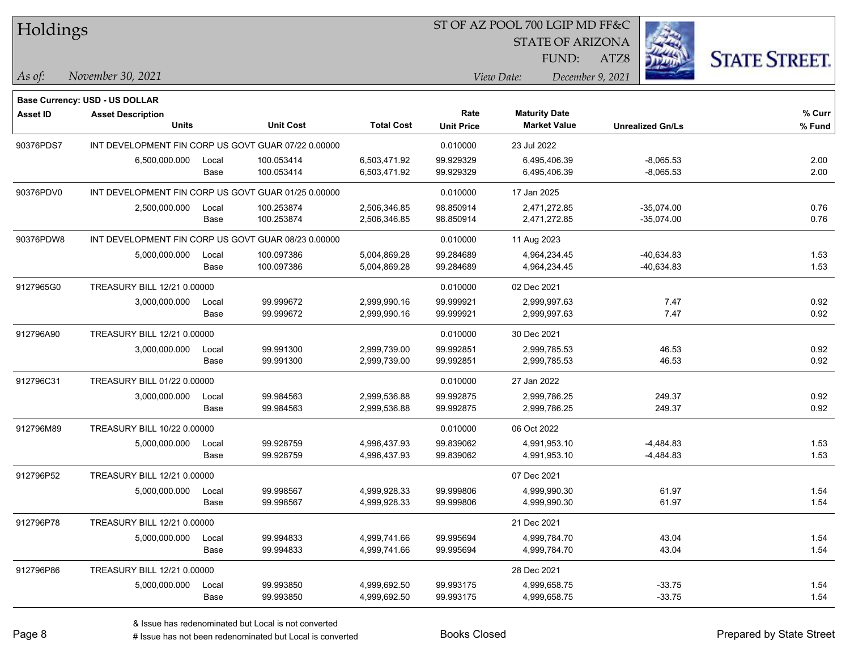| Holdings        |                                                     |       |                                                     |                   |                   | ST OF AZ POOL 700 LGIP MD FF&C |                         |                         |                      |
|-----------------|-----------------------------------------------------|-------|-----------------------------------------------------|-------------------|-------------------|--------------------------------|-------------------------|-------------------------|----------------------|
|                 |                                                     |       |                                                     |                   |                   |                                | <b>STATE OF ARIZONA</b> |                         |                      |
|                 |                                                     |       |                                                     |                   |                   |                                | FUND:<br>ATZ8           |                         | <b>STATE STREET.</b> |
| As of:          | November 30, 2021                                   |       |                                                     |                   |                   | View Date:                     | December 9, 2021        |                         |                      |
|                 | <b>Base Currency: USD - US DOLLAR</b>               |       |                                                     |                   |                   |                                |                         |                         |                      |
| <b>Asset ID</b> | <b>Asset Description</b>                            |       |                                                     |                   | Rate              | <b>Maturity Date</b>           |                         |                         | % Curr               |
|                 | <b>Units</b>                                        |       | <b>Unit Cost</b>                                    | <b>Total Cost</b> | <b>Unit Price</b> | <b>Market Value</b>            |                         | <b>Unrealized Gn/Ls</b> | % Fund               |
| 90376PDS7       |                                                     |       | INT DEVELOPMENT FIN CORP US GOVT GUAR 07/22 0.00000 |                   | 0.010000          | 23 Jul 2022                    |                         |                         |                      |
|                 | 6,500,000.000                                       | Local | 100.053414                                          | 6,503,471.92      | 99.929329         | 6,495,406.39                   |                         | $-8,065.53$             | 2.00                 |
|                 |                                                     | Base  | 100.053414                                          | 6,503,471.92      | 99.929329         | 6,495,406.39                   |                         | $-8,065.53$             | 2.00                 |
| 90376PDV0       | INT DEVELOPMENT FIN CORP US GOVT GUAR 01/25 0.00000 |       |                                                     |                   | 0.010000          | 17 Jan 2025                    |                         |                         |                      |
|                 | 2,500,000.000                                       | Local | 100.253874                                          | 2,506,346.85      | 98.850914         | 2,471,272.85                   |                         | $-35,074.00$            | 0.76                 |
|                 |                                                     | Base  | 100.253874                                          | 2,506,346.85      | 98.850914         | 2,471,272.85                   |                         | $-35,074.00$            | 0.76                 |
| 90376PDW8       |                                                     |       | INT DEVELOPMENT FIN CORP US GOVT GUAR 08/23 0.00000 |                   | 0.010000          | 11 Aug 2023                    |                         |                         |                      |
|                 | 5,000,000.000                                       | Local | 100.097386                                          | 5,004,869.28      | 99.284689         | 4,964,234.45                   |                         | $-40,634.83$            | 1.53                 |
|                 |                                                     | Base  | 100.097386                                          | 5,004,869.28      | 99.284689         | 4,964,234.45                   |                         | $-40,634.83$            | 1.53                 |
| 9127965G0       | TREASURY BILL 12/21 0.00000                         |       |                                                     |                   | 0.010000          | 02 Dec 2021                    |                         |                         |                      |
|                 | 3,000,000.000                                       | Local | 99.999672                                           | 2,999,990.16      | 99.999921         | 2,999,997.63                   |                         | 7.47                    | 0.92                 |
|                 |                                                     | Base  | 99.999672                                           | 2,999,990.16      | 99.999921         | 2,999,997.63                   |                         | 7.47                    | 0.92                 |
| 912796A90       | TREASURY BILL 12/21 0.00000                         |       |                                                     |                   | 0.010000          | 30 Dec 2021                    |                         |                         |                      |
|                 | 3,000,000.000                                       | Local | 99.991300                                           | 2,999,739.00      | 99.992851         | 2,999,785.53                   |                         | 46.53                   | 0.92                 |
|                 |                                                     | Base  | 99.991300                                           | 2,999,739.00      | 99.992851         | 2,999,785.53                   |                         | 46.53                   | 0.92                 |
| 912796C31       | TREASURY BILL 01/22 0.00000                         |       |                                                     |                   | 0.010000          | 27 Jan 2022                    |                         |                         |                      |
|                 | 3,000,000.000                                       | Local | 99.984563                                           | 2,999,536.88      | 99.992875         | 2,999,786.25                   |                         | 249.37                  | 0.92                 |
|                 |                                                     | Base  | 99.984563                                           | 2,999,536.88      | 99.992875         | 2,999,786.25                   |                         | 249.37                  | 0.92                 |
| 912796M89       | TREASURY BILL 10/22 0.00000                         |       |                                                     |                   | 0.010000          | 06 Oct 2022                    |                         |                         |                      |
|                 | 5,000,000.000                                       | Local | 99.928759                                           | 4,996,437.93      | 99.839062         | 4,991,953.10                   |                         | $-4,484.83$             | 1.53                 |
|                 |                                                     | Base  | 99.928759                                           | 4,996,437.93      | 99.839062         | 4,991,953.10                   |                         | $-4,484.83$             | 1.53                 |
| 912796P52       | TREASURY BILL 12/21 0.00000                         |       |                                                     |                   |                   | 07 Dec 2021                    |                         |                         |                      |
|                 | 5,000,000.000 Local                                 |       | 99.998567                                           | 4,999,928.33      | 99.999806         | 4,999,990.30                   |                         | 61.97                   | 1.54                 |
|                 |                                                     | Base  | 99.998567                                           | 4,999,928.33      | 99.999806         | 4,999,990.30                   |                         | 61.97                   | 1.54                 |
| 912796P78       | TREASURY BILL 12/21 0.00000                         |       |                                                     |                   |                   | 21 Dec 2021                    |                         |                         |                      |
|                 | 5,000,000.000                                       | Local | 99.994833                                           | 4,999,741.66      | 99.995694         | 4,999,784.70                   |                         | 43.04                   | 1.54                 |
|                 |                                                     | Base  | 99.994833                                           | 4,999,741.66      | 99.995694         | 4,999,784.70                   |                         | 43.04                   | 1.54                 |
| 912796P86       | TREASURY BILL 12/21 0.00000                         |       |                                                     |                   |                   | 28 Dec 2021                    |                         |                         |                      |
|                 | 5,000,000.000                                       | Local | 99.993850                                           | 4,999,692.50      | 99.993175         | 4,999,658.75                   |                         | $-33.75$                | 1.54                 |
|                 |                                                     | Base  | 99.993850                                           | 4,999,692.50      | 99.993175         | 4,999,658.75                   |                         | $-33.75$                | 1.54                 |

 $\overline{\phantom{0}}$ 

 $\overline{\phantom{a}}$ 

 $\overline{\phantom{0}}$ 

 $\overline{\phantom{a}}$ 

 $\overline{\phantom{a}}$ 

 $\overline{\phantom{0}}$ 

# Issue has not been redenominated but Local is converted Books Closed Prepared by State Street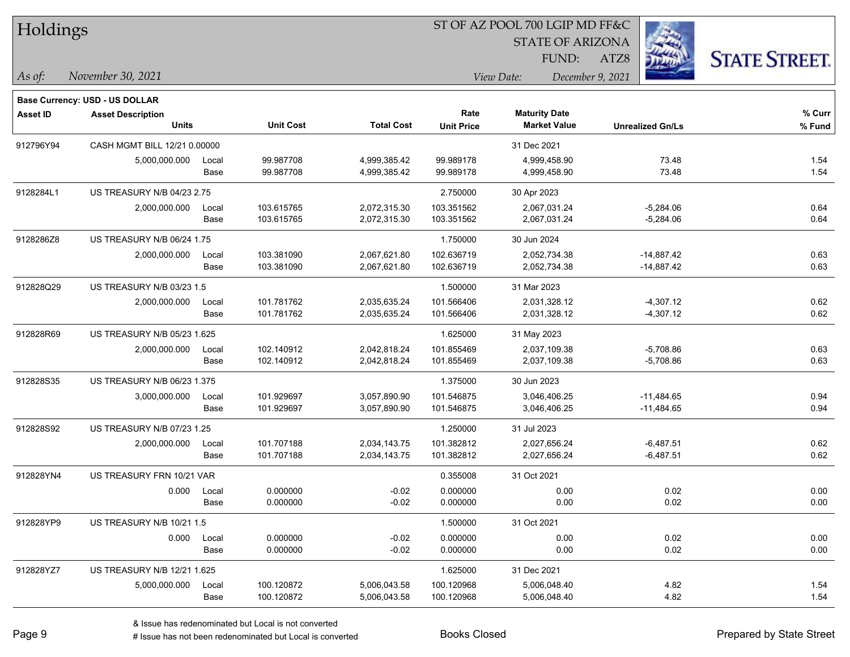| Holdings        |                                   |       |                  |                   |                   | ST OF AZ POOL 700 LGIP MD FF&C |                         |                      |
|-----------------|-----------------------------------|-------|------------------|-------------------|-------------------|--------------------------------|-------------------------|----------------------|
|                 |                                   |       |                  |                   |                   | <b>STATE OF ARIZONA</b>        |                         |                      |
|                 |                                   |       |                  |                   |                   | FUND:                          | ATZ8                    | <b>STATE STREET.</b> |
| As of:          | November 30, 2021                 |       |                  |                   |                   | View Date:<br>December 9, 2021 |                         |                      |
|                 | Base Currency: USD - US DOLLAR    |       |                  |                   |                   |                                |                         |                      |
| <b>Asset ID</b> | <b>Asset Description</b>          |       |                  |                   | Rate              | <b>Maturity Date</b>           |                         | % Curr               |
|                 | <b>Units</b>                      |       | <b>Unit Cost</b> | <b>Total Cost</b> | <b>Unit Price</b> | <b>Market Value</b>            | <b>Unrealized Gn/Ls</b> | % Fund               |
| 912796Y94       | CASH MGMT BILL 12/21 0.00000      |       |                  |                   |                   | 31 Dec 2021                    |                         |                      |
|                 | 5,000,000.000                     | Local | 99.987708        | 4,999,385.42      | 99.989178         | 4,999,458.90                   | 73.48                   | 1.54                 |
|                 |                                   | Base  | 99.987708        | 4,999,385.42      | 99.989178         | 4,999,458.90                   | 73.48                   | 1.54                 |
| 9128284L1       | <b>US TREASURY N/B 04/23 2.75</b> |       |                  |                   | 2.750000          | 30 Apr 2023                    |                         |                      |
|                 | 2,000,000.000                     | Local | 103.615765       | 2,072,315.30      | 103.351562        | 2,067,031.24                   | $-5,284.06$             | 0.64                 |
|                 |                                   | Base  | 103.615765       | 2,072,315.30      | 103.351562        | 2,067,031.24                   | $-5,284.06$             | 0.64                 |
| 9128286Z8       | US TREASURY N/B 06/24 1.75        |       |                  |                   | 1.750000          | 30 Jun 2024                    |                         |                      |
|                 | 2,000,000.000                     | Local | 103.381090       | 2,067,621.80      | 102.636719        | 2,052,734.38                   | $-14,887.42$            | 0.63                 |
|                 |                                   | Base  | 103.381090       | 2,067,621.80      | 102.636719        | 2,052,734.38                   | -14,887.42              | 0.63                 |
| 912828Q29       | US TREASURY N/B 03/23 1.5         |       |                  |                   | 1.500000          | 31 Mar 2023                    |                         |                      |
|                 | 2,000,000.000                     | Local | 101.781762       | 2,035,635.24      | 101.566406        | 2,031,328.12                   | $-4,307.12$             | 0.62                 |
|                 |                                   | Base  | 101.781762       | 2,035,635.24      | 101.566406        | 2,031,328.12                   | $-4,307.12$             | 0.62                 |
| 912828R69       | US TREASURY N/B 05/23 1.625       |       |                  |                   | 1.625000          | 31 May 2023                    |                         |                      |
|                 | 2,000,000.000                     | Local | 102.140912       | 2,042,818.24      | 101.855469        | 2,037,109.38                   | $-5,708.86$             | 0.63                 |
|                 |                                   | Base  | 102.140912       | 2,042,818.24      | 101.855469        | 2,037,109.38                   | $-5,708.86$             | 0.63                 |
| 912828S35       | US TREASURY N/B 06/23 1.375       |       |                  |                   | 1.375000          | 30 Jun 2023                    |                         |                      |
|                 | 3,000,000.000                     | Local | 101.929697       | 3,057,890.90      | 101.546875        | 3,046,406.25                   | $-11,484.65$            | 0.94                 |
|                 |                                   | Base  | 101.929697       | 3,057,890.90      | 101.546875        | 3,046,406.25                   | $-11,484.65$            | 0.94                 |
| 912828S92       | US TREASURY N/B 07/23 1.25        |       |                  |                   | 1.250000          | 31 Jul 2023                    |                         |                      |
|                 | 2,000,000.000                     | Local | 101.707188       | 2,034,143.75      | 101.382812        | 2,027,656.24                   | $-6,487.51$             | 0.62                 |
|                 |                                   | Base  | 101.707188       | 2,034,143.75      | 101.382812        | 2,027,656.24                   | $-6,487.51$             | 0.62                 |
| 912828YN4       | US TREASURY FRN 10/21 VAR         |       |                  |                   | 0.355008          | 31 Oct 2021                    |                         |                      |
|                 | 0.000                             | Local | 0.000000         | $-0.02$           | 0.000000          | 0.00                           | 0.02                    | 0.00                 |
|                 |                                   | Base  | 0.000000         | $-0.02$           | 0.000000          | 0.00                           | 0.02                    | 0.00                 |
| 912828YP9       | US TREASURY N/B 10/21 1.5         |       |                  |                   | 1.500000          | 31 Oct 2021                    |                         |                      |
|                 | 0.000                             | Local | 0.000000         | $-0.02$           | 0.000000          | 0.00                           | 0.02                    | 0.00                 |
|                 |                                   | Base  | 0.000000         | $-0.02$           | 0.000000          | 0.00                           | 0.02                    | 0.00                 |
| 912828YZ7       | US TREASURY N/B 12/21 1.625       |       |                  |                   | 1.625000          | 31 Dec 2021                    |                         |                      |
|                 | 5,000,000.000                     | Local | 100.120872       | 5,006,043.58      | 100.120968        | 5,006,048.40                   | 4.82                    | 1.54                 |
|                 |                                   | Base  | 100.120872       | 5,006,043.58      | 100.120968        | 5,006,048.40                   | 4.82                    | 1.54                 |

-

 $\overline{\phantom{0}}$ 

 $\overline{\phantom{a}}$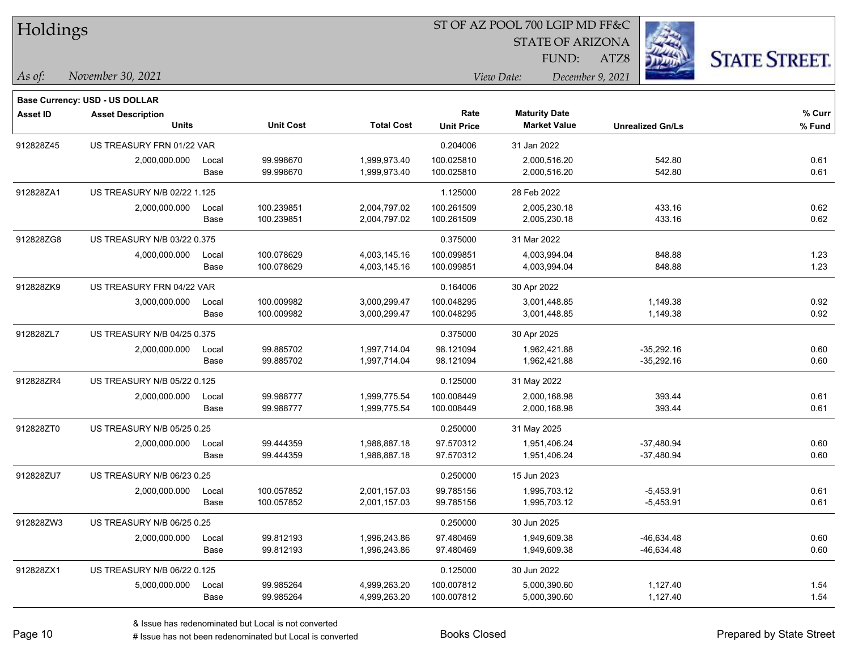| Holdings        |                                          |       |                  | ST OF AZ POOL 700 LGIP MD FF&C |                           |                                             |                         |                      |  |
|-----------------|------------------------------------------|-------|------------------|--------------------------------|---------------------------|---------------------------------------------|-------------------------|----------------------|--|
|                 |                                          |       |                  |                                |                           | <b>STATE OF ARIZONA</b>                     |                         |                      |  |
|                 |                                          |       |                  |                                |                           | FUND:                                       | ATZ8                    | <b>STATE STREET.</b> |  |
| As of:          | November 30, 2021                        |       |                  |                                |                           | View Date:<br>December 9, 2021              |                         |                      |  |
|                 |                                          |       |                  |                                |                           |                                             |                         |                      |  |
|                 | Base Currency: USD - US DOLLAR           |       |                  |                                |                           |                                             |                         |                      |  |
| <b>Asset ID</b> | <b>Asset Description</b><br><b>Units</b> |       | <b>Unit Cost</b> | <b>Total Cost</b>              | Rate<br><b>Unit Price</b> | <b>Maturity Date</b><br><b>Market Value</b> | <b>Unrealized Gn/Ls</b> | % Curr<br>% Fund     |  |
| 912828Z45       | US TREASURY FRN 01/22 VAR                |       |                  |                                | 0.204006                  | 31 Jan 2022                                 |                         |                      |  |
|                 | 2,000,000.000                            | Local | 99.998670        | 1,999,973.40                   | 100.025810                | 2,000,516.20                                | 542.80                  | 0.61                 |  |
|                 |                                          | Base  | 99.998670        | 1,999,973.40                   | 100.025810                | 2,000,516.20                                | 542.80                  | 0.61                 |  |
| 912828ZA1       | US TREASURY N/B 02/22 1.125              |       |                  |                                | 1.125000                  | 28 Feb 2022                                 |                         |                      |  |
|                 | 2,000,000.000                            | Local | 100.239851       | 2,004,797.02                   | 100.261509                | 2,005,230.18                                | 433.16                  | 0.62                 |  |
|                 |                                          | Base  | 100.239851       | 2,004,797.02                   | 100.261509                | 2,005,230.18                                | 433.16                  | 0.62                 |  |
| 912828ZG8       | US TREASURY N/B 03/22 0.375              |       |                  |                                | 0.375000                  | 31 Mar 2022                                 |                         |                      |  |
|                 | 4,000,000.000                            | Local | 100.078629       | 4,003,145.16                   | 100.099851                | 4,003,994.04                                | 848.88                  | 1.23                 |  |
|                 |                                          | Base  | 100.078629       | 4,003,145.16                   | 100.099851                | 4,003,994.04                                | 848.88                  | 1.23                 |  |
| 912828ZK9       | US TREASURY FRN 04/22 VAR                |       |                  |                                | 0.164006                  | 30 Apr 2022                                 |                         |                      |  |
|                 | 3,000,000.000                            | Local | 100.009982       | 3,000,299.47                   | 100.048295                | 3,001,448.85                                | 1,149.38                | 0.92                 |  |
|                 |                                          | Base  | 100.009982       | 3,000,299.47                   | 100.048295                | 3,001,448.85                                | 1,149.38                | 0.92                 |  |
| 912828ZL7       | US TREASURY N/B 04/25 0.375              |       |                  |                                | 0.375000                  | 30 Apr 2025                                 |                         |                      |  |
|                 | 2,000,000.000                            | Local | 99.885702        | 1,997,714.04                   | 98.121094                 | 1,962,421.88                                | $-35,292.16$            | 0.60                 |  |
|                 |                                          | Base  | 99.885702        | 1,997,714.04                   | 98.121094                 | 1,962,421.88                                | $-35,292.16$            | 0.60                 |  |
| 912828ZR4       | US TREASURY N/B 05/22 0.125              |       |                  |                                | 0.125000                  | 31 May 2022                                 |                         |                      |  |
|                 | 2,000,000.000                            | Local | 99.988777        | 1,999,775.54                   | 100.008449                | 2,000,168.98                                | 393.44                  | 0.61                 |  |
|                 |                                          | Base  | 99.988777        | 1,999,775.54                   | 100.008449                | 2,000,168.98                                | 393.44                  | 0.61                 |  |
| 912828ZT0       | US TREASURY N/B 05/25 0.25               |       |                  |                                | 0.250000                  | 31 May 2025                                 |                         |                      |  |
|                 | 2,000,000.000                            | Local | 99.444359        | 1,988,887.18                   | 97.570312                 | 1,951,406.24                                | $-37,480.94$            | 0.60                 |  |
|                 |                                          | Base  | 99.444359        | 1,988,887.18                   | 97.570312                 | 1,951,406.24                                | $-37,480.94$            | 0.60                 |  |
| 912828ZU7       | US TREASURY N/B 06/23 0.25               |       |                  |                                | 0.250000                  | 15 Jun 2023                                 |                         |                      |  |
|                 | 2,000,000.000                            | Local | 100.057852       | 2,001,157.03                   | 99.785156                 | 1,995,703.12                                | $-5,453.91$             | 0.61                 |  |
|                 |                                          | Base  | 100.057852       | 2,001,157.03                   | 99.785156                 | 1,995,703.12                                | $-5,453.91$             | 0.61                 |  |
| 912828ZW3       | US TREASURY N/B 06/25 0.25               |       |                  |                                | 0.250000                  | 30 Jun 2025                                 |                         |                      |  |
|                 | 2,000,000.000                            | Local | 99.812193        | 1,996,243.86                   | 97.480469                 | 1,949,609.38                                | $-46,634.48$            | 0.60                 |  |
|                 |                                          | Base  | 99.812193        | 1,996,243.86                   | 97.480469                 | 1,949,609.38                                | $-46,634.48$            | 0.60                 |  |
| 912828ZX1       | US TREASURY N/B 06/22 0.125              |       |                  |                                | 0.125000                  | 30 Jun 2022                                 |                         |                      |  |
|                 | 5,000,000.000                            | Local | 99.985264        | 4,999,263.20                   | 100.007812                | 5,000,390.60                                | 1,127.40                | 1.54                 |  |
|                 |                                          | Base  | 99.985264        | 4,999,263.20                   | 100.007812                | 5,000,390.60                                | 1,127.40                | 1.54                 |  |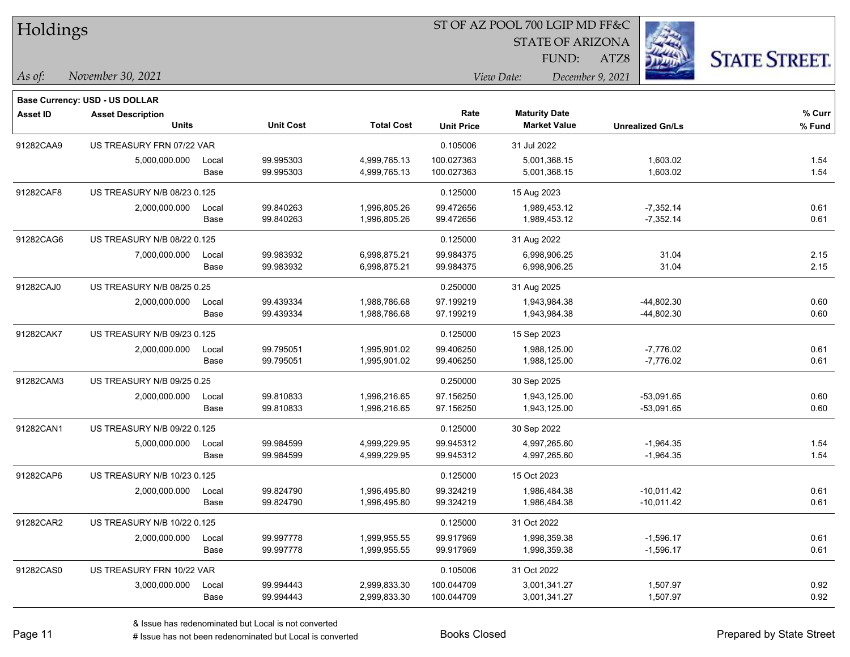| Holdings        |                                |       |                  |                   | ST OF AZ POOL 700 LGIP MD FF&C |                         |                         |                      |
|-----------------|--------------------------------|-------|------------------|-------------------|--------------------------------|-------------------------|-------------------------|----------------------|
|                 |                                |       |                  |                   |                                | <b>STATE OF ARIZONA</b> |                         |                      |
|                 |                                |       |                  |                   |                                | FUND:                   | ATZ8                    | <b>STATE STREET.</b> |
| $\vert$ As of:  | November 30, 2021              |       |                  |                   |                                | View Date:              | December 9, 2021        |                      |
|                 | Base Currency: USD - US DOLLAR |       |                  |                   |                                |                         |                         |                      |
| <b>Asset ID</b> | <b>Asset Description</b>       |       |                  |                   | Rate                           | <b>Maturity Date</b>    |                         | % Curr               |
|                 | <b>Units</b>                   |       | <b>Unit Cost</b> | <b>Total Cost</b> | <b>Unit Price</b>              | <b>Market Value</b>     | <b>Unrealized Gn/Ls</b> | % Fund               |
| 91282CAA9       | US TREASURY FRN 07/22 VAR      |       |                  |                   | 0.105006                       | 31 Jul 2022             |                         |                      |
|                 | 5,000,000.000                  | Local | 99.995303        | 4,999,765.13      | 100.027363                     | 5,001,368.15            | 1,603.02                | 1.54                 |
|                 |                                | Base  | 99.995303        | 4,999,765.13      | 100.027363                     | 5,001,368.15            | 1,603.02                | 1.54                 |
| 91282CAF8       | US TREASURY N/B 08/23 0.125    |       |                  |                   | 0.125000                       | 15 Aug 2023             |                         |                      |
|                 | 2,000,000.000                  | Local | 99.840263        | 1,996,805.26      | 99.472656                      | 1,989,453.12            | $-7,352.14$             | 0.61                 |
|                 |                                | Base  | 99.840263        | 1,996,805.26      | 99.472656                      | 1,989,453.12            | $-7,352.14$             | 0.61                 |
| 91282CAG6       | US TREASURY N/B 08/22 0.125    |       |                  |                   | 0.125000                       | 31 Aug 2022             |                         |                      |
|                 | 7,000,000.000                  | Local | 99.983932        | 6,998,875.21      | 99.984375                      | 6,998,906.25            | 31.04                   | 2.15                 |
|                 |                                | Base  | 99.983932        | 6,998,875.21      | 99.984375                      | 6,998,906.25            | 31.04                   | 2.15                 |
| 91282CAJ0       | US TREASURY N/B 08/25 0.25     |       |                  |                   | 0.250000                       | 31 Aug 2025             |                         |                      |
|                 | 2,000,000.000                  | Local | 99.439334        | 1,988,786.68      | 97.199219                      | 1,943,984.38            | -44,802.30              | 0.60                 |
|                 |                                | Base  | 99.439334        | 1,988,786.68      | 97.199219                      | 1,943,984.38            | $-44,802.30$            | 0.60                 |
| 91282CAK7       | US TREASURY N/B 09/23 0.125    |       |                  |                   | 0.125000                       | 15 Sep 2023             |                         |                      |
|                 | 2,000,000.000                  | Local | 99.795051        | 1,995,901.02      | 99.406250                      | 1,988,125.00            | $-7,776.02$             | 0.61                 |
|                 |                                | Base  | 99.795051        | 1,995,901.02      | 99.406250                      | 1,988,125.00            | $-7,776.02$             | 0.61                 |
| 91282CAM3       | US TREASURY N/B 09/25 0.25     |       |                  |                   | 0.250000                       | 30 Sep 2025             |                         |                      |
|                 | 2,000,000.000                  | Local | 99.810833        | 1,996,216.65      | 97.156250                      | 1,943,125.00            | $-53,091.65$            | 0.60                 |
|                 |                                | Base  | 99.810833        | 1,996,216.65      | 97.156250                      | 1,943,125.00            | $-53,091.65$            | 0.60                 |
| 91282CAN1       | US TREASURY N/B 09/22 0.125    |       |                  |                   | 0.125000                       | 30 Sep 2022             |                         |                      |
|                 | 5,000,000.000                  | Local | 99.984599        | 4,999,229.95      | 99.945312                      | 4,997,265.60            | $-1,964.35$             | 1.54                 |
|                 |                                | Base  | 99.984599        | 4,999,229.95      | 99.945312                      | 4,997,265.60            | $-1,964.35$             | 1.54                 |
| 91282CAP6       | US TREASURY N/B 10/23 0.125    |       |                  |                   | 0.125000                       | 15 Oct 2023             |                         |                      |
|                 | 2,000,000.000                  | Local | 99.824790        | 1,996,495.80      | 99.324219                      | 1,986,484.38            | $-10,011.42$            | 0.61                 |
|                 |                                | Base  | 99.824790        | 1,996,495.80      | 99.324219                      | 1,986,484.38            | $-10,011.42$            | 0.61                 |
| 91282CAR2       | US TREASURY N/B 10/22 0.125    |       |                  |                   | 0.125000                       | 31 Oct 2022             |                         |                      |
|                 | 2,000,000.000                  | Local | 99.997778        | 1,999,955.55      | 99.917969                      | 1,998,359.38            | $-1,596.17$             | 0.61                 |
|                 |                                | Base  | 99.997778        | 1,999,955.55      | 99.917969                      | 1,998,359.38            | $-1,596.17$             | 0.61                 |
| 91282CAS0       | US TREASURY FRN 10/22 VAR      |       |                  |                   | 0.105006                       | 31 Oct 2022             |                         |                      |
|                 | 3,000,000.000                  | Local | 99.994443        | 2,999,833.30      | 100.044709                     | 3,001,341.27            | 1,507.97                | 0.92                 |
|                 |                                | Base  | 99.994443        | 2,999,833.30      | 100.044709                     | 3,001,341.27            | 1,507.97                | 0.92                 |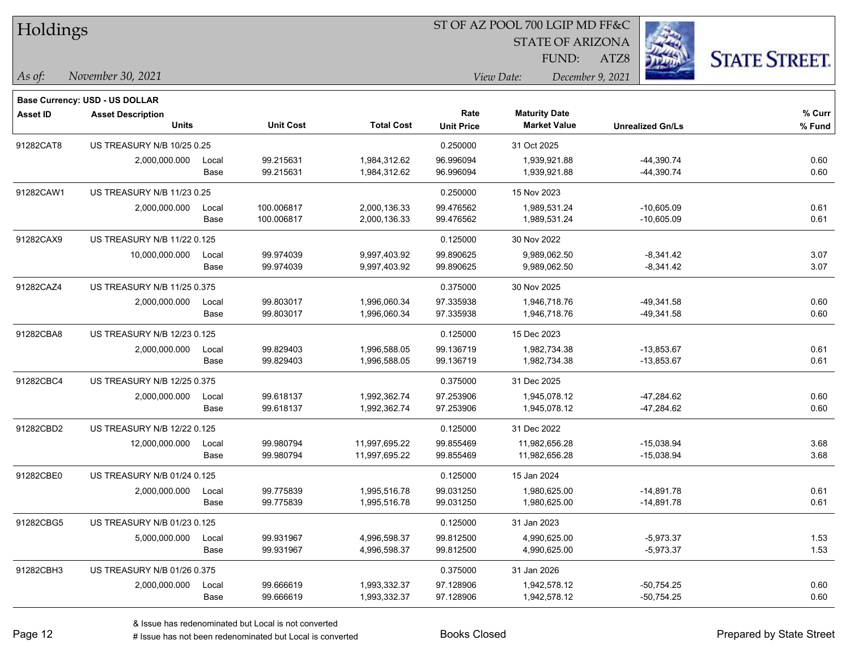| Holdings        |                                                            |       |                  |                   | ST OF AZ POOL 700 LGIP MD FF&C |                         |                         |                      |  |  |
|-----------------|------------------------------------------------------------|-------|------------------|-------------------|--------------------------------|-------------------------|-------------------------|----------------------|--|--|
|                 |                                                            |       |                  |                   |                                | <b>STATE OF ARIZONA</b> |                         |                      |  |  |
|                 |                                                            |       |                  |                   |                                | FUND:                   | ATZ8                    | <b>STATE STREET.</b> |  |  |
| $\vert$ As of:  | November 30, 2021                                          |       |                  |                   | View Date:<br>December 9, 2021 |                         |                         |                      |  |  |
|                 |                                                            |       |                  |                   |                                |                         |                         |                      |  |  |
| <b>Asset ID</b> | Base Currency: USD - US DOLLAR<br><b>Asset Description</b> |       |                  |                   | Rate                           | <b>Maturity Date</b>    |                         | % Curr               |  |  |
|                 | <b>Units</b>                                               |       | <b>Unit Cost</b> | <b>Total Cost</b> | <b>Unit Price</b>              | <b>Market Value</b>     | <b>Unrealized Gn/Ls</b> | % Fund               |  |  |
| 91282CAT8       | US TREASURY N/B 10/25 0.25                                 |       |                  |                   | 0.250000                       | 31 Oct 2025             |                         |                      |  |  |
|                 | 2,000,000.000                                              | Local | 99.215631        | 1,984,312.62      | 96.996094                      | 1,939,921.88            | $-44,390.74$            | 0.60                 |  |  |
|                 |                                                            | Base  | 99.215631        | 1,984,312.62      | 96.996094                      | 1,939,921.88            | $-44,390.74$            | 0.60                 |  |  |
| 91282CAW1       | US TREASURY N/B 11/23 0.25                                 |       |                  |                   | 0.250000                       | 15 Nov 2023             |                         |                      |  |  |
|                 | 2,000,000.000                                              | Local | 100.006817       | 2,000,136.33      | 99.476562                      | 1,989,531.24            | $-10,605.09$            | 0.61                 |  |  |
|                 |                                                            | Base  | 100.006817       | 2,000,136.33      | 99.476562                      | 1,989,531.24            | $-10,605.09$            | 0.61                 |  |  |
| 91282CAX9       | US TREASURY N/B 11/22 0.125                                |       |                  |                   | 0.125000                       | 30 Nov 2022             |                         |                      |  |  |
|                 | 10,000,000.000                                             | Local | 99.974039        | 9,997,403.92      | 99.890625                      | 9.989.062.50            | $-8,341.42$             | 3.07                 |  |  |
|                 |                                                            | Base  | 99.974039        | 9,997,403.92      | 99.890625                      | 9,989,062.50            | $-8,341.42$             | 3.07                 |  |  |
| 91282CAZ4       | US TREASURY N/B 11/25 0.375                                |       |                  |                   | 0.375000                       | 30 Nov 2025             |                         |                      |  |  |
|                 | 2,000,000.000                                              | Local | 99.803017        | 1,996,060.34      | 97.335938                      | 1,946,718.76            | $-49,341.58$            | 0.60                 |  |  |
|                 |                                                            | Base  | 99.803017        | 1,996,060.34      | 97.335938                      | 1,946,718.76            | -49,341.58              | 0.60                 |  |  |
| 91282CBA8       | US TREASURY N/B 12/23 0.125                                |       |                  |                   | 0.125000                       | 15 Dec 2023             |                         |                      |  |  |
|                 | 2,000,000.000                                              | Local | 99.829403        | 1,996,588.05      | 99.136719                      | 1,982,734.38            | $-13,853.67$            | 0.61                 |  |  |
|                 |                                                            | Base  | 99.829403        | 1,996,588.05      | 99.136719                      | 1,982,734.38            | $-13,853.67$            | 0.61                 |  |  |
| 91282CBC4       | US TREASURY N/B 12/25 0.375                                |       |                  |                   | 0.375000                       | 31 Dec 2025             |                         |                      |  |  |
|                 | 2,000,000.000                                              | Local | 99.618137        | 1,992,362.74      | 97.253906                      | 1,945,078.12            | -47,284.62              | 0.60                 |  |  |
|                 |                                                            | Base  | 99.618137        | 1,992,362.74      | 97.253906                      | 1,945,078.12            | $-47,284.62$            | 0.60                 |  |  |
| 91282CBD2       | US TREASURY N/B 12/22 0.125                                |       |                  |                   | 0.125000                       | 31 Dec 2022             |                         |                      |  |  |
|                 | 12,000,000.000                                             | Local | 99.980794        | 11,997,695.22     | 99.855469                      | 11,982,656.28           | $-15,038.94$            | 3.68                 |  |  |
|                 |                                                            | Base  | 99.980794        | 11,997,695.22     | 99.855469                      | 11,982,656.28           | $-15,038.94$            | 3.68                 |  |  |
| 91282CBE0       | US TREASURY N/B 01/24 0.125                                |       |                  |                   | 0.125000                       | 15 Jan 2024             |                         |                      |  |  |
|                 | 2,000,000.000                                              | Local | 99.775839        | 1,995,516.78      | 99.031250                      | 1,980,625.00            | $-14,891.78$            | 0.61                 |  |  |
|                 |                                                            | Base  | 99.775839        | 1,995,516.78      | 99.031250                      | 1,980,625.00            | $-14,891.78$            | 0.61                 |  |  |
| 91282CBG5       | US TREASURY N/B 01/23 0.125                                |       |                  |                   | 0.125000                       | 31 Jan 2023             |                         |                      |  |  |
|                 | 5,000,000.000                                              | Local | 99.931967        | 4,996,598.37      | 99.812500                      | 4,990,625.00            | $-5,973.37$             | 1.53                 |  |  |
|                 |                                                            | Base  | 99.931967        | 4,996,598.37      | 99.812500                      | 4,990,625.00            | $-5,973.37$             | 1.53                 |  |  |
| 91282CBH3       | US TREASURY N/B 01/26 0.375                                |       |                  |                   | 0.375000                       | 31 Jan 2026             |                         |                      |  |  |
|                 | 2,000,000.000                                              | Local | 99.666619        | 1,993,332.37      | 97.128906                      | 1,942,578.12            | $-50,754.25$            | 0.60                 |  |  |
|                 |                                                            | Base  | 99.666619        | 1,993,332.37      | 97.128906                      | 1,942,578.12            | $-50,754.25$            | 0.60                 |  |  |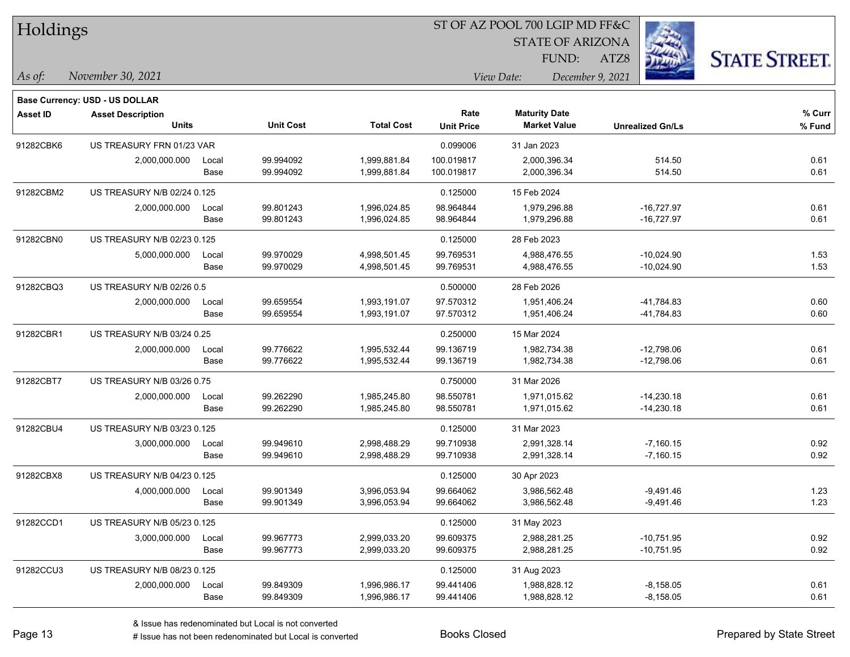| Holdings        |                                       |       |                  |                   | ST OF AZ POOL 700 LGIP MD FF&C |                                |                         |                      |  |
|-----------------|---------------------------------------|-------|------------------|-------------------|--------------------------------|--------------------------------|-------------------------|----------------------|--|
|                 |                                       |       |                  |                   |                                | <b>STATE OF ARIZONA</b>        |                         |                      |  |
|                 |                                       |       |                  |                   | FUND:                          |                                | ATZ8                    | <b>STATE STREET.</b> |  |
| As of:          | November 30, 2021                     |       |                  |                   |                                | View Date:<br>December 9, 2021 |                         |                      |  |
|                 | <b>Base Currency: USD - US DOLLAR</b> |       |                  |                   |                                |                                |                         |                      |  |
| <b>Asset ID</b> | <b>Asset Description</b>              |       |                  |                   | Rate                           | <b>Maturity Date</b>           |                         | % Curr               |  |
|                 | <b>Units</b>                          |       | <b>Unit Cost</b> | <b>Total Cost</b> | <b>Unit Price</b>              | <b>Market Value</b>            | <b>Unrealized Gn/Ls</b> | % Fund               |  |
| 91282CBK6       | US TREASURY FRN 01/23 VAR             |       |                  |                   | 0.099006                       | 31 Jan 2023                    |                         |                      |  |
|                 | 2,000,000.000                         | Local | 99.994092        | 1,999,881.84      | 100.019817                     | 2,000,396.34                   | 514.50                  | 0.61                 |  |
|                 |                                       | Base  | 99.994092        | 1,999,881.84      | 100.019817                     | 2,000,396.34                   | 514.50                  | 0.61                 |  |
| 91282CBM2       | US TREASURY N/B 02/24 0.125           |       |                  |                   | 0.125000                       | 15 Feb 2024                    |                         |                      |  |
|                 | 2,000,000.000                         | Local | 99.801243        | 1,996,024.85      | 98.964844                      | 1,979,296.88                   | $-16,727.97$            | 0.61                 |  |
|                 |                                       | Base  | 99.801243        | 1,996,024.85      | 98.964844                      | 1,979,296.88                   | $-16,727.97$            | 0.61                 |  |
| 91282CBN0       | US TREASURY N/B 02/23 0.125           |       |                  |                   | 0.125000                       | 28 Feb 2023                    |                         |                      |  |
|                 | 5,000,000.000                         | Local | 99.970029        | 4,998,501.45      | 99.769531                      | 4,988,476.55                   | $-10,024.90$            | 1.53                 |  |
|                 |                                       | Base  | 99.970029        | 4,998,501.45      | 99.769531                      | 4,988,476.55                   | $-10,024.90$            | 1.53                 |  |
| 91282CBQ3       | US TREASURY N/B 02/26 0.5             |       |                  |                   | 0.500000                       | 28 Feb 2026                    |                         |                      |  |
|                 | 2,000,000.000                         | Local | 99.659554        | 1,993,191.07      | 97.570312                      | 1,951,406.24                   | -41,784.83              | 0.60                 |  |
|                 |                                       | Base  | 99.659554        | 1,993,191.07      | 97.570312                      | 1,951,406.24                   | -41,784.83              | 0.60                 |  |
| 91282CBR1       | US TREASURY N/B 03/24 0.25            |       |                  |                   | 0.250000                       | 15 Mar 2024                    |                         |                      |  |
|                 | 2,000,000.000                         | Local | 99.776622        | 1,995,532.44      | 99.136719                      | 1,982,734.38                   | $-12,798.06$            | 0.61                 |  |
|                 |                                       | Base  | 99.776622        | 1,995,532.44      | 99.136719                      | 1,982,734.38                   | $-12,798.06$            | 0.61                 |  |
| 91282CBT7       | US TREASURY N/B 03/26 0.75            |       |                  |                   | 0.750000                       | 31 Mar 2026                    |                         |                      |  |
|                 | 2,000,000.000                         | Local | 99.262290        | 1,985,245.80      | 98.550781                      | 1,971,015.62                   | $-14,230.18$            | 0.61                 |  |
|                 |                                       | Base  | 99.262290        | 1,985,245.80      | 98.550781                      | 1,971,015.62                   | $-14,230.18$            | 0.61                 |  |
| 91282CBU4       | US TREASURY N/B 03/23 0.125           |       |                  |                   | 0.125000                       | 31 Mar 2023                    |                         |                      |  |
|                 | 3,000,000.000                         | Local | 99.949610        | 2,998,488.29      | 99.710938                      | 2,991,328.14                   | $-7,160.15$             | 0.92                 |  |
|                 |                                       | Base  | 99.949610        | 2,998,488.29      | 99.710938                      | 2,991,328.14                   | $-7,160.15$             | 0.92                 |  |
| 91282CBX8       | US TREASURY N/B 04/23 0.125           |       |                  |                   | 0.125000                       | 30 Apr 2023                    |                         |                      |  |
|                 | 4,000,000.000                         | Local | 99.901349        | 3,996,053.94      | 99.664062                      | 3,986,562.48                   | $-9,491.46$             | 1.23                 |  |
|                 |                                       | Base  | 99.901349        | 3,996,053.94      | 99.664062                      | 3,986,562.48                   | $-9,491.46$             | 1.23                 |  |
| 91282CCD1       | US TREASURY N/B 05/23 0.125           |       |                  |                   | 0.125000                       | 31 May 2023                    |                         |                      |  |
|                 | 3,000,000.000                         | Local | 99.967773        | 2,999,033.20      | 99.609375                      | 2,988,281.25                   | $-10,751.95$            | 0.92                 |  |
|                 |                                       | Base  | 99.967773        | 2,999,033.20      | 99.609375                      | 2,988,281.25                   | $-10,751.95$            | 0.92                 |  |
| 91282CCU3       | US TREASURY N/B 08/23 0.125           |       |                  |                   | 0.125000                       | 31 Aug 2023                    |                         |                      |  |
|                 | 2,000,000.000                         | Local | 99.849309        | 1,996,986.17      | 99.441406                      | 1,988,828.12                   | $-8,158.05$             | 0.61                 |  |
|                 |                                       | Base  | 99.849309        | 1,996,986.17      | 99.441406                      | 1,988,828.12                   | $-8,158.05$             | 0.61                 |  |

 $\overline{\phantom{0}}$ 

 $\overline{\phantom{a}}$ 

 $\overline{\phantom{0}}$ 

 $\overline{\phantom{0}}$ 

 $\overline{\phantom{0}}$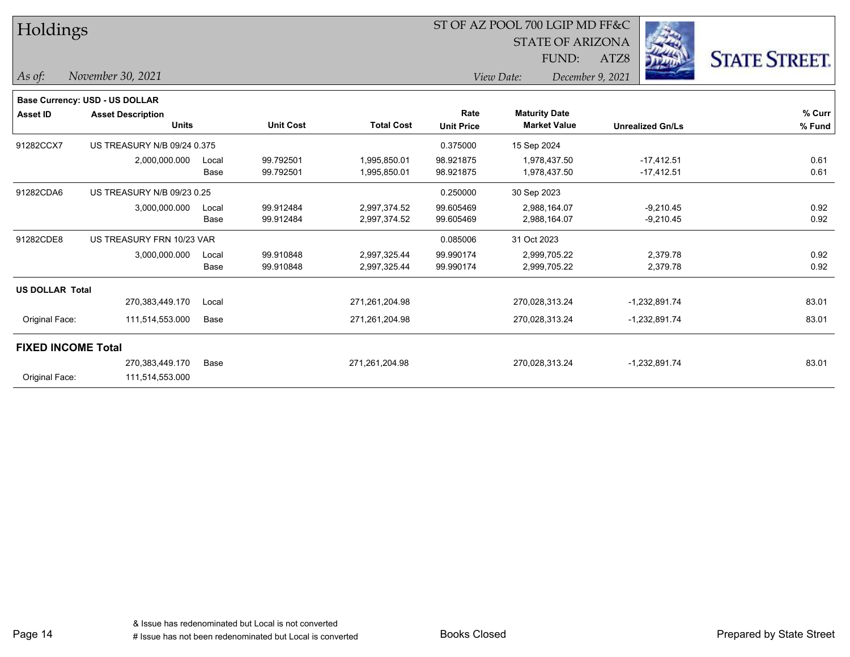| Holdings                  |                                       | ST OF AZ POOL 700 LGIP MD FF&C |                  |                   |                   | <b>STATE OF ARIZONA</b> |                         |                      |
|---------------------------|---------------------------------------|--------------------------------|------------------|-------------------|-------------------|-------------------------|-------------------------|----------------------|
|                           |                                       |                                |                  |                   |                   | FUND:                   | ATZ8                    | <b>STATE STREET.</b> |
| As of:                    | November 30, 2021                     |                                |                  |                   |                   | View Date:              | December 9, 2021        |                      |
|                           | <b>Base Currency: USD - US DOLLAR</b> |                                |                  |                   |                   |                         |                         |                      |
| <b>Asset ID</b>           | <b>Asset Description</b>              |                                |                  |                   | Rate              | <b>Maturity Date</b>    |                         | % Curr               |
|                           | <b>Units</b>                          |                                | <b>Unit Cost</b> | <b>Total Cost</b> | <b>Unit Price</b> | <b>Market Value</b>     | <b>Unrealized Gn/Ls</b> | % Fund               |
| 91282CCX7                 | US TREASURY N/B 09/24 0.375           |                                |                  |                   | 0.375000          | 15 Sep 2024             |                         |                      |
|                           | 2,000,000.000                         | Local                          | 99.792501        | 1,995,850.01      | 98.921875         | 1,978,437.50            | $-17,412.51$            | 0.61                 |
|                           |                                       | Base                           | 99.792501        | 1,995,850.01      | 98.921875         | 1,978,437.50            | $-17,412.51$            | 0.61                 |
| 91282CDA6                 | US TREASURY N/B 09/23 0.25            |                                |                  |                   | 0.250000          | 30 Sep 2023             |                         |                      |
|                           | 3,000,000.000                         | Local                          | 99.912484        | 2,997,374.52      | 99.605469         | 2,988,164.07            | $-9,210.45$             | 0.92                 |
|                           |                                       | Base                           | 99.912484        | 2,997,374.52      | 99.605469         | 2,988,164.07            | $-9,210.45$             | 0.92                 |
| 91282CDE8                 | US TREASURY FRN 10/23 VAR             |                                |                  |                   | 0.085006          | 31 Oct 2023             |                         |                      |
|                           | 3,000,000.000                         | Local                          | 99.910848        | 2,997,325.44      | 99.990174         | 2,999,705.22            | 2,379.78                | 0.92                 |
|                           |                                       | Base                           | 99.910848        | 2,997,325.44      | 99.990174         | 2,999,705.22            | 2,379.78                | 0.92                 |
| <b>US DOLLAR Total</b>    |                                       |                                |                  |                   |                   |                         |                         |                      |
|                           | 270,383,449.170                       | Local                          |                  | 271,261,204.98    |                   | 270,028,313.24          | -1,232,891.74           | 83.01                |
| Original Face:            | 111,514,553.000                       | Base                           |                  | 271,261,204.98    |                   | 270,028,313.24          | $-1,232,891.74$         | 83.01                |
| <b>FIXED INCOME Total</b> |                                       |                                |                  |                   |                   |                         |                         |                      |
|                           | 270,383,449.170                       | Base                           |                  | 271,261,204.98    |                   | 270,028,313.24          | $-1,232,891.74$         | 83.01                |
| Original Face:            | 111,514,553.000                       |                                |                  |                   |                   |                         |                         |                      |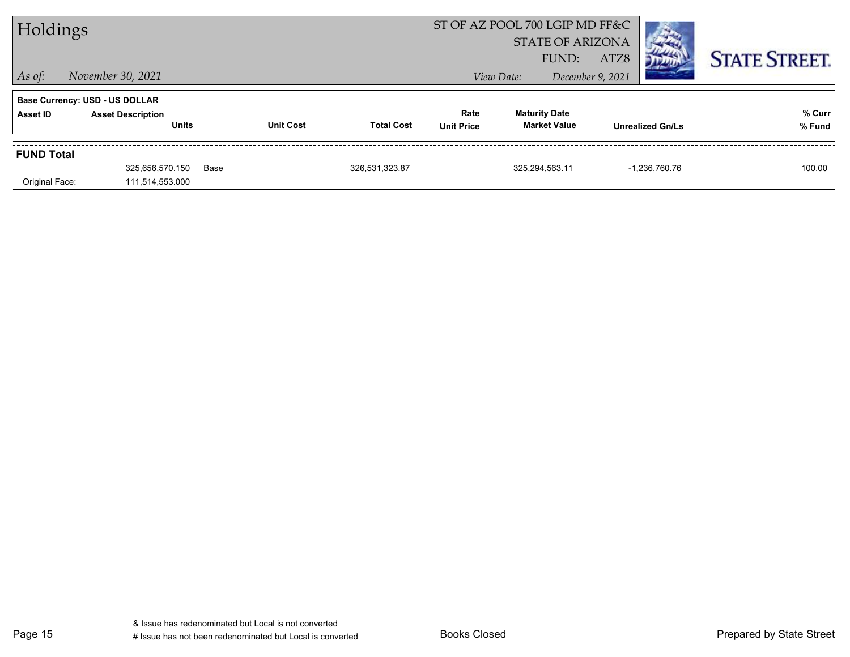| Holdings                              |                                          |      | ST OF AZ POOL 700 LGIP MD FF&C<br><b>STATE OF ARIZONA</b> |                   |                           |            |                                             |                  |                         |                      |
|---------------------------------------|------------------------------------------|------|-----------------------------------------------------------|-------------------|---------------------------|------------|---------------------------------------------|------------------|-------------------------|----------------------|
|                                       |                                          |      |                                                           |                   |                           |            | FUND:                                       | ATZ8             |                         | <b>STATE STREET.</b> |
| $\vert$ As of:                        | November 30, 2021                        |      |                                                           |                   |                           | View Date: |                                             | December 9, 2021 |                         |                      |
| <b>Base Currency: USD - US DOLLAR</b> |                                          |      |                                                           |                   |                           |            |                                             |                  |                         |                      |
| Asset ID                              | <b>Asset Description</b><br><b>Units</b> |      | <b>Unit Cost</b>                                          | <b>Total Cost</b> | Rate<br><b>Unit Price</b> |            | <b>Maturity Date</b><br><b>Market Value</b> |                  | <b>Unrealized Gn/Ls</b> | % Curr<br>% Fund     |
| <b>FUND Total</b>                     |                                          |      |                                                           |                   |                           |            |                                             |                  |                         |                      |
|                                       | 325,656,570.150                          | Base |                                                           | 326,531,323.87    |                           |            | 325,294,563.11                              |                  | -1.236.760.76           | 100.00               |
| Original Face:                        | 111,514,553.000                          |      |                                                           |                   |                           |            |                                             |                  |                         |                      |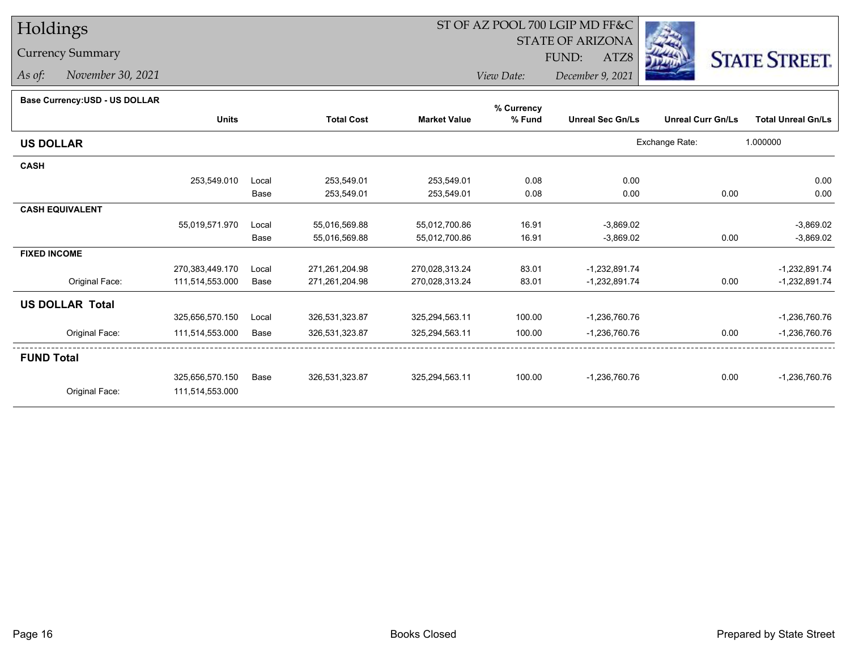# Holdings

### Currency Summary

*As of: November 30, 2021*

## ST OF AZ POOL 700 LGIP MD FF&C

STATE OF ARIZONA

ATZ8



*View Date: December 9, 2021*FUND:

#### **Base Currency:USD - US DOLLAR**

|                        |                 |       |                   |                     | % Currency |                         |                          |                           |
|------------------------|-----------------|-------|-------------------|---------------------|------------|-------------------------|--------------------------|---------------------------|
|                        | <b>Units</b>    |       | <b>Total Cost</b> | <b>Market Value</b> | % Fund     | <b>Unreal Sec Gn/Ls</b> | <b>Unreal Curr Gn/Ls</b> | <b>Total Unreal Gn/Ls</b> |
| <b>US DOLLAR</b>       |                 |       |                   |                     |            |                         | Exchange Rate:           | 1.000000                  |
| <b>CASH</b>            |                 |       |                   |                     |            |                         |                          |                           |
|                        | 253,549.010     | Local | 253,549.01        | 253,549.01          | 0.08       | 0.00                    |                          | 0.00                      |
|                        |                 | Base  | 253,549.01        | 253,549.01          | 0.08       | 0.00                    | 0.00                     | 0.00                      |
| <b>CASH EQUIVALENT</b> |                 |       |                   |                     |            |                         |                          |                           |
|                        | 55,019,571.970  | Local | 55,016,569.88     | 55,012,700.86       | 16.91      | $-3,869.02$             |                          | $-3,869.02$               |
|                        |                 | Base  | 55,016,569.88     | 55,012,700.86       | 16.91      | $-3,869.02$             | 0.00                     | $-3,869.02$               |
| <b>FIXED INCOME</b>    |                 |       |                   |                     |            |                         |                          |                           |
|                        | 270,383,449.170 | Local | 271,261,204.98    | 270,028,313.24      | 83.01      | $-1,232,891.74$         |                          | $-1,232,891.74$           |
| Original Face:         | 111,514,553.000 | Base  | 271,261,204.98    | 270,028,313.24      | 83.01      | $-1,232,891.74$         | 0.00                     | -1,232,891.74             |
| <b>US DOLLAR Total</b> |                 |       |                   |                     |            |                         |                          |                           |
|                        | 325,656,570.150 | Local | 326,531,323.87    | 325,294,563.11      | 100.00     | -1,236,760.76           |                          | $-1,236,760.76$           |
| Original Face:         | 111,514,553.000 | Base  | 326,531,323.87    | 325,294,563.11      | 100.00     | $-1,236,760.76$         | 0.00                     | $-1,236,760.76$           |
| <b>FUND Total</b>      |                 |       |                   |                     |            |                         |                          |                           |
|                        | 325,656,570.150 | Base  | 326,531,323.87    | 325,294,563.11      | 100.00     | $-1,236,760.76$         | 0.00                     | $-1,236,760.76$           |
| Original Face:         | 111,514,553.000 |       |                   |                     |            |                         |                          |                           |
|                        |                 |       |                   |                     |            |                         |                          |                           |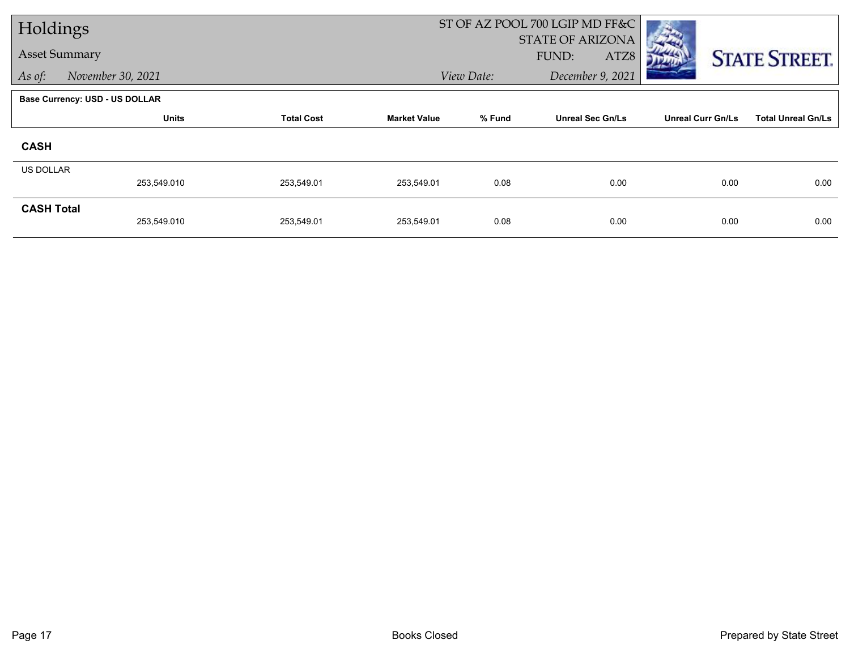| Holdings             |                                |                   |                     |            | ST OF AZ POOL 700 LGIP MD FF&C |                          |                           |
|----------------------|--------------------------------|-------------------|---------------------|------------|--------------------------------|--------------------------|---------------------------|
|                      |                                |                   |                     |            | STATE OF ARIZONA               |                          |                           |
| <b>Asset Summary</b> |                                |                   |                     |            | FUND:<br>ATZ8                  |                          | <b>STATE STREET.</b>      |
| As of:               | November 30, 2021              |                   |                     | View Date: | December 9, 2021               |                          |                           |
|                      | Base Currency: USD - US DOLLAR |                   |                     |            |                                |                          |                           |
|                      | <b>Units</b>                   | <b>Total Cost</b> | <b>Market Value</b> | % Fund     | <b>Unreal Sec Gn/Ls</b>        | <b>Unreal Curr Gn/Ls</b> | <b>Total Unreal Gn/Ls</b> |
| <b>CASH</b>          |                                |                   |                     |            |                                |                          |                           |
| <b>US DOLLAR</b>     |                                |                   |                     |            |                                |                          |                           |
|                      | 253,549.010                    | 253,549.01        | 253,549.01          | 0.08       | 0.00                           | 0.00                     | 0.00                      |
| <b>CASH Total</b>    |                                |                   |                     |            |                                |                          |                           |
|                      | 253,549.010                    | 253,549.01        | 253,549.01          | 0.08       | 0.00                           | 0.00                     | 0.00                      |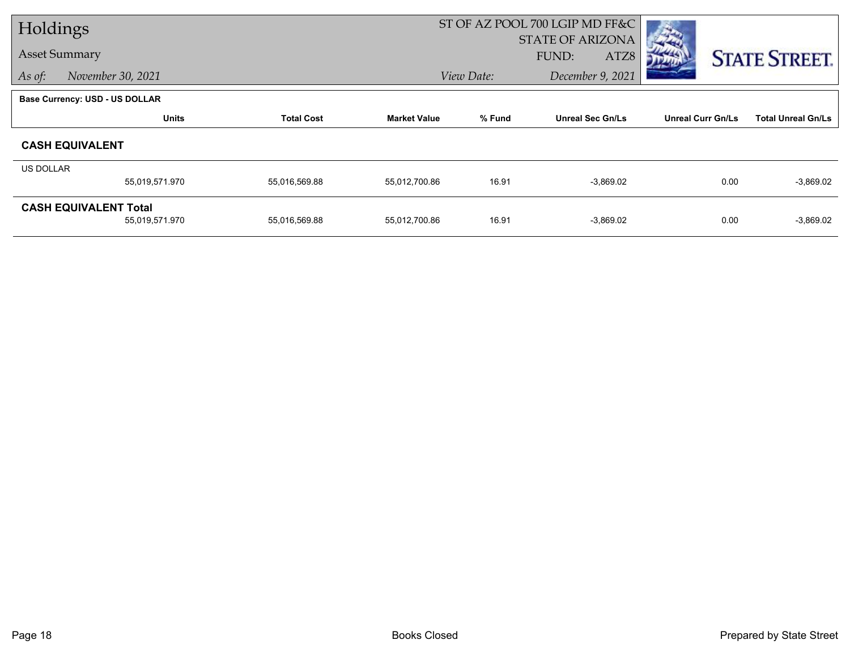| Holdings         |                                       |                   |                     |            | ST OF AZ POOL 700 LGIP MD FF&C |                          |                           |  |
|------------------|---------------------------------------|-------------------|---------------------|------------|--------------------------------|--------------------------|---------------------------|--|
|                  |                                       |                   |                     |            | <b>STATE OF ARIZONA</b>        |                          |                           |  |
|                  | <b>Asset Summary</b>                  |                   |                     |            | FUND:<br>ATZ8                  |                          | <b>STATE STREET.</b>      |  |
| As of:           | November 30, 2021                     |                   |                     | View Date: | December 9, 2021               |                          |                           |  |
|                  | <b>Base Currency: USD - US DOLLAR</b> |                   |                     |            |                                |                          |                           |  |
|                  | <b>Units</b>                          | <b>Total Cost</b> | <b>Market Value</b> | % Fund     | <b>Unreal Sec Gn/Ls</b>        | <b>Unreal Curr Gn/Ls</b> | <b>Total Unreal Gn/Ls</b> |  |
|                  | <b>CASH EQUIVALENT</b>                |                   |                     |            |                                |                          |                           |  |
| <b>US DOLLAR</b> |                                       |                   |                     |            |                                |                          |                           |  |
|                  | 55,019,571.970                        | 55,016,569.88     | 55,012,700.86       | 16.91      | $-3,869.02$                    | 0.00                     | $-3,869.02$               |  |
|                  | <b>CASH EQUIVALENT Total</b>          |                   |                     |            |                                |                          |                           |  |
|                  | 55,019,571.970                        | 55,016,569.88     | 55,012,700.86       | 16.91      | $-3,869.02$                    | 0.00                     | $-3,869.02$               |  |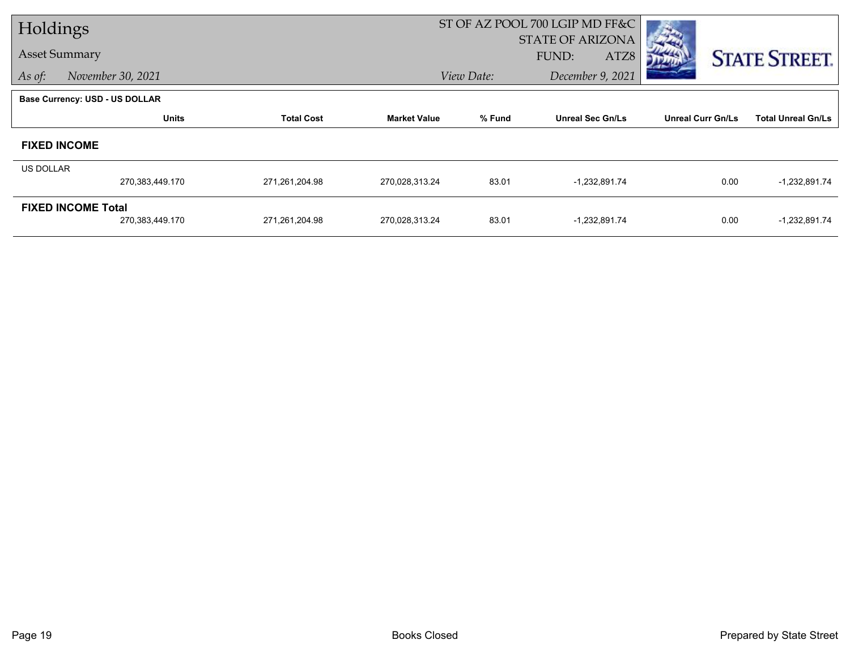| Holdings  |                                |                   |                     |            | ST OF AZ POOL 700 LGIP MD FF&C |                          |                           |
|-----------|--------------------------------|-------------------|---------------------|------------|--------------------------------|--------------------------|---------------------------|
|           |                                |                   |                     |            | <b>STATE OF ARIZONA</b>        |                          |                           |
|           | <b>Asset Summary</b>           |                   |                     |            | ATZ8<br>FUND:                  |                          | <b>STATE STREET.</b>      |
| As of:    | November 30, 2021              |                   |                     | View Date: | December 9, 2021               |                          |                           |
|           | Base Currency: USD - US DOLLAR |                   |                     |            |                                |                          |                           |
|           | <b>Units</b>                   | <b>Total Cost</b> | <b>Market Value</b> | % Fund     | <b>Unreal Sec Gn/Ls</b>        | <b>Unreal Curr Gn/Ls</b> | <b>Total Unreal Gn/Ls</b> |
|           | <b>FIXED INCOME</b>            |                   |                     |            |                                |                          |                           |
| US DOLLAR |                                |                   |                     |            |                                |                          |                           |
|           | 270,383,449.170                | 271,261,204.98    | 270,028,313.24      | 83.01      | -1,232,891.74                  | 0.00                     | $-1,232,891.74$           |
|           | <b>FIXED INCOME Total</b>      |                   |                     |            |                                |                          |                           |
|           | 270,383,449.170                | 271,261,204.98    | 270,028,313.24      | 83.01      | -1,232,891.74                  | 0.00                     | $-1,232,891.74$           |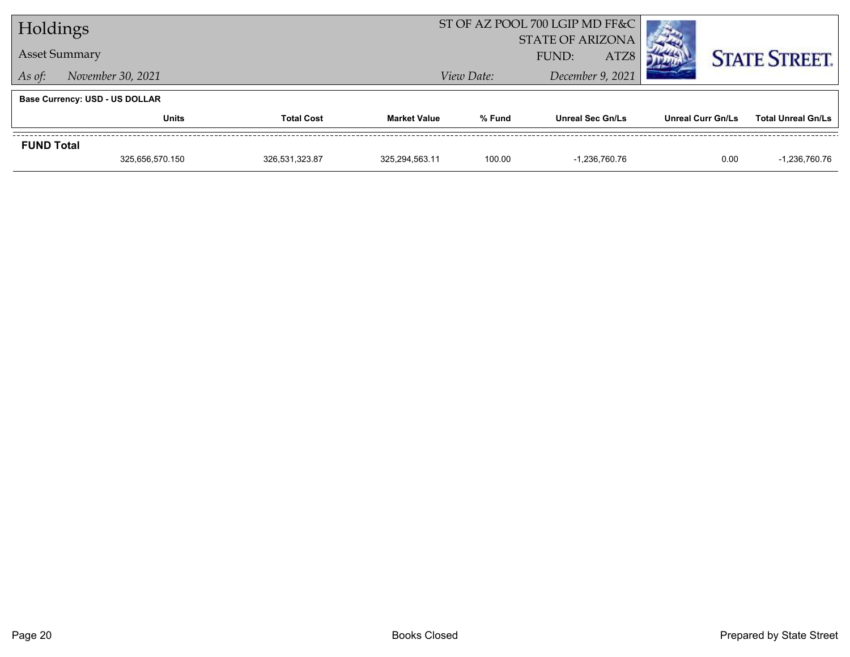| Holdings             |                                |                   |                     |            | ST OF AZ POOL 700 LGIP MD FF&C |                          |                           |
|----------------------|--------------------------------|-------------------|---------------------|------------|--------------------------------|--------------------------|---------------------------|
|                      |                                |                   |                     |            | <b>STATE OF ARIZONA</b>        |                          |                           |
| <b>Asset Summary</b> |                                |                   |                     |            | ATZ8<br>FUND:                  |                          | <b>STATE STREET.</b>      |
| As of:               | November 30, 2021              |                   |                     | View Date: | December 9, 2021               |                          |                           |
|                      | Base Currency: USD - US DOLLAR |                   |                     |            |                                |                          |                           |
|                      | <b>Units</b>                   | <b>Total Cost</b> | <b>Market Value</b> | % Fund     | <b>Unreal Sec Gn/Ls</b>        | <b>Unreal Curr Gn/Ls</b> | <b>Total Unreal Gn/Ls</b> |
| <b>FUND Total</b>    |                                |                   |                     |            |                                |                          |                           |
|                      | 325,656,570.150                | 326,531,323.87    | 325,294,563.11      | 100.00     | -1.236.760.76                  | 0.00                     | -1,236,760.76             |